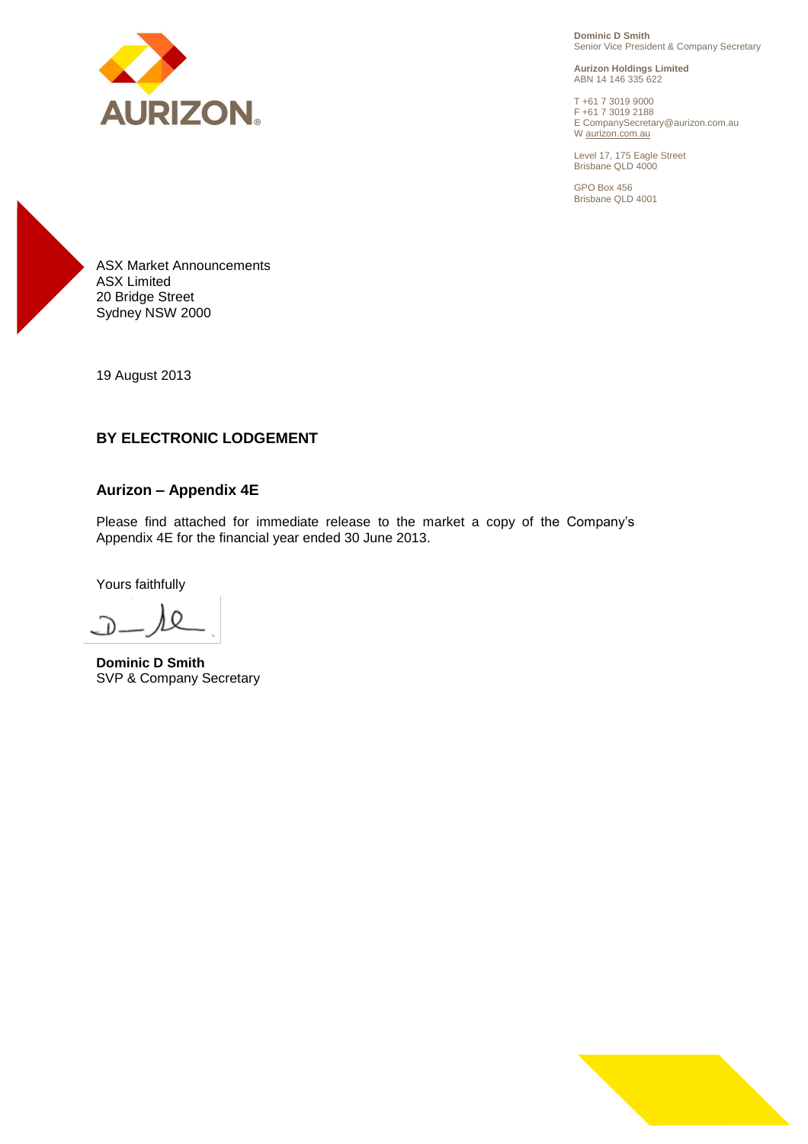

**Dominic D Smith** Senior Vice President & Company Secretary

**Aurizon Holdings Limited** ABN 14 146 335 622

T +61 7 3019 9000 F +61 7 3019 2188 E CompanySecretary@aurizon.com.au W aurizon.com.au

Level 17, 175 Eagle Street Brisbane QLD 4000

GPO Box 456 Brisbane QLD 4001



19 August 2013

# **BY ELECTRONIC LODGEMENT**

### **Aurizon – Appendix 4E**

Please find attached for immediate release to the market a copy of the Company's Appendix 4E for the financial year ended 30 June 2013.

Yours faithfully

**Dominic D Smith** SVP & Company Secretary

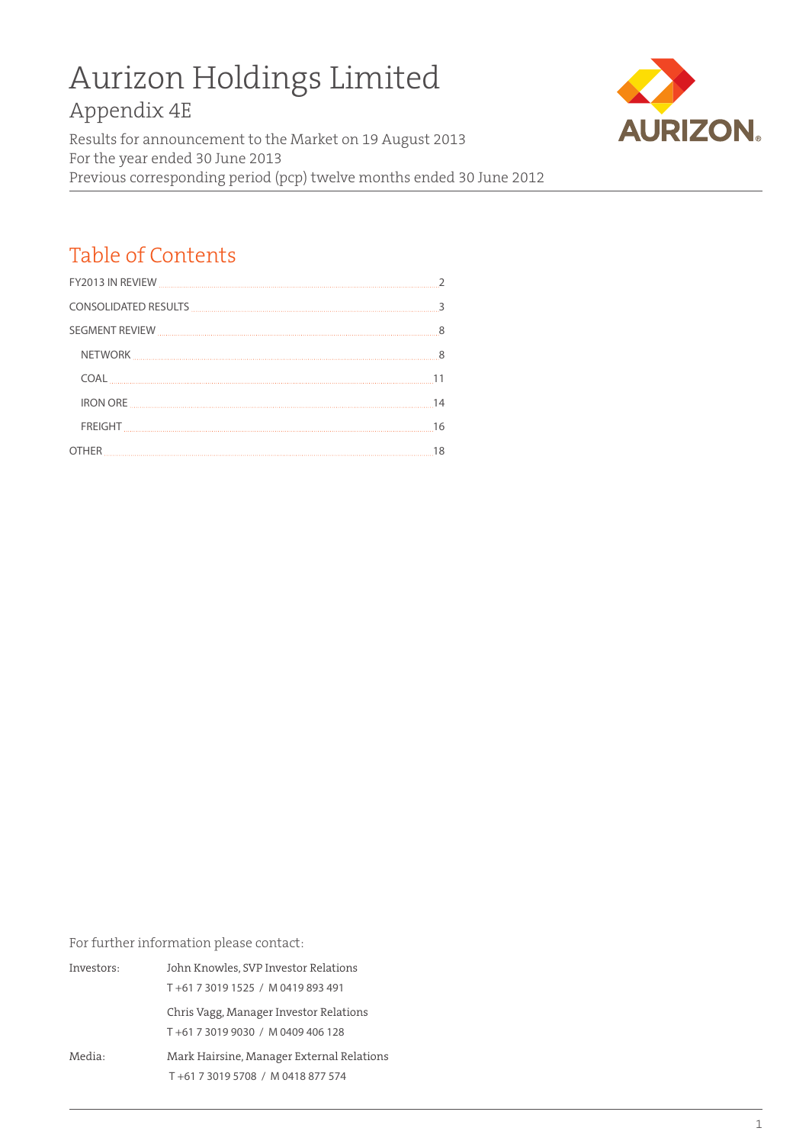# Aurizon Holdings Limited

Appendix 4E

Results for announcement to the Market on 19 August 2013 For the year ended 30 June 2013 Previous corresponding period (pcp) twelve months ended 30 June 2012



# Table of Contents

| 11 |
|----|
| 14 |
| 16 |
| 18 |

For further information please contact:

Investors: John Knowles, SVP Investor Relations T +61 7 3019 1525 / M 0419 893 491 Chris Vagg, Manager Investor Relations T +61 7 3019 9030 / M 0409 406 128 Media: Mark Hairsine, Manager External Relations T +61 7 3019 5708 / M 0418 877 574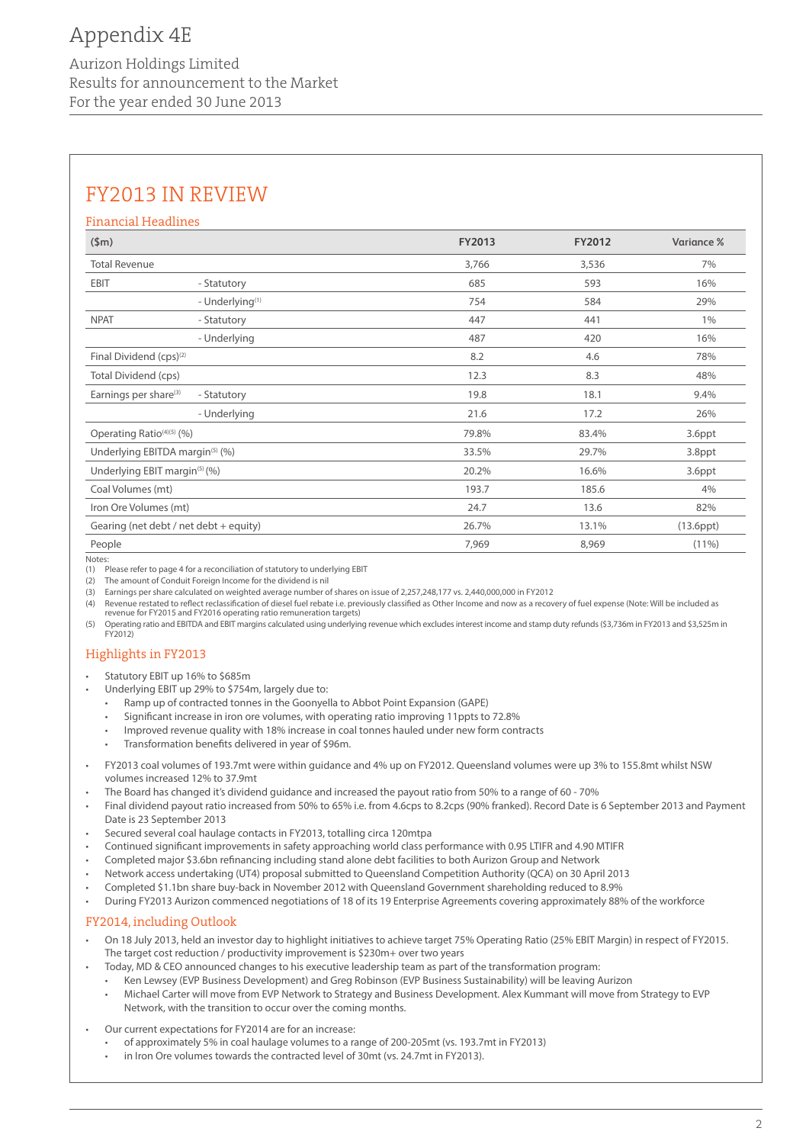# Appendix 4E

Aurizon Holdings Limited Results for announcement to the Market For the year ended 30 June 2013

# FY2013 IN REVIEW

#### Financial Headlines

| \$m\$                                       |                                        | FY2013 | <b>FY2012</b> | Variance %      |
|---------------------------------------------|----------------------------------------|--------|---------------|-----------------|
| <b>Total Revenue</b>                        |                                        | 3,766  | 3,536         | 7%              |
| EBIT                                        | - Statutory                            | 685    | 593           | 16%             |
|                                             | - Underlying <sup>(1)</sup>            | 754    | 584           | 29%             |
| <b>NPAT</b>                                 | - Statutory                            | 447    | 441           | $1\%$           |
|                                             | - Underlying                           | 487    | 420           | 16%             |
| Final Dividend (cps) <sup>(2)</sup>         |                                        | 8.2    | 4.6           | 78%             |
| Total Dividend (cps)                        |                                        | 12.3   | 8.3           | 48%             |
| Earnings per share <sup>(3)</sup>           | - Statutory                            | 19.8   | 18.1          | 9.4%            |
|                                             | - Underlying                           | 21.6   | 17.2          | 26%             |
| Operating Ratio <sup>(4)(5)</sup> (%)       |                                        | 79.8%  | 83.4%         | 3.6ppt          |
| Underlying EBITDA margin <sup>(5)</sup> (%) |                                        | 33.5%  | 29.7%         | 3.8ppt          |
| Underlying EBIT margin <sup>(5)</sup> (%)   |                                        | 20.2%  | 16.6%         | 3.6ppt          |
| Coal Volumes (mt)                           |                                        | 193.7  | 185.6         | 4%              |
| Iron Ore Volumes (mt)                       |                                        | 24.7   | 13.6          | 82%             |
|                                             | Gearing (net debt / net debt + equity) | 26.7%  | 13.1%         | $(13.6$ ppt $)$ |
| People                                      |                                        | 7,969  | 8,969         | $(11\%)$        |

Notes:

(1) Please refer to page 4 for a reconciliation of statutory to underlying EBIT

(2) The amount of Conduit Foreign Income for the dividend is nil

(3) Earnings per share calculated on weighted average number of shares on issue of 2,257,248,177 vs. 2,440,000,000 in FY2012

(4) Revenue restated to reflect reclassification of diesel fuel rebate i.e. previously classified as Other Income and now as a recovery of fuel expense (Note: Will be included as revenue for FY2015 and FY2016 operating ratio remuneration targets)

(5) Operating ratio and EBITDA and EBIT margins calculated using underlying revenue which excludes interest income and stamp duty refunds (\$3,736m in FY2013 and \$3,525m in FY2012)

# Highlights in FY2013

- Statutory EBIT up 16% to \$685m
- Underlying EBIT up 29% to \$754m, largely due to:
	- Ramp up of contracted tonnes in the Goonyella to Abbot Point Expansion (GAPE)
	- Significant increase in iron ore volumes, with operating ratio improving 11ppts to 72.8%
	- Improved revenue quality with 18% increase in coal tonnes hauled under new form contracts
	- Transformation benefits delivered in year of \$96m.
- FY2013 coal volumes of 193.7mt were within guidance and 4% up on FY2012. Queensland volumes were up 3% to 155.8mt whilst NSW volumes increased 12% to 37.9mt
- The Board has changed it's dividend guidance and increased the payout ratio from 50% to a range of 60 70%
- Final dividend payout ratio increased from 50% to 65% i.e. from 4.6cps to 8.2cps (90% franked). Record Date is 6 September 2013 and Payment Date is 23 September 2013
- Secured several coal haulage contacts in FY2013, totalling circa 120mtpa
- Continued significant improvements in safety approaching world class performance with 0.95 LTIFR and 4.90 MTIFR
- Completed major \$3.6bn refinancing including stand alone debt facilities to both Aurizon Group and Network
- • Network access undertaking (UT4) proposal submitted to Queensland Competition Authority (QCA) on 30 April 2013
- • Completed \$1.1bn share buy-back in November 2012 with Queensland Government shareholding reduced to 8.9%
- During FY2013 Aurizon commenced negotiations of 18 of its 19 Enterprise Agreements covering approximately 88% of the workforce

#### FY2014, including Outlook

- On 18 July 2013, held an investor day to highlight initiatives to achieve target 75% Operating Ratio (25% EBIT Margin) in respect of FY2015. The target cost reduction / productivity improvement is \$230m+ over two years
- Today, MD & CEO announced changes to his executive leadership team as part of the transformation program:
- • Ken Lewsey (EVP Business Development) and Greg Robinson (EVP Business Sustainability) will be leaving Aurizon
- Michael Carter will move from EVP Network to Strategy and Business Development. Alex Kummant will move from Strategy to EVP Network, with the transition to occur over the coming months.
- Our current expectations for FY2014 are for an increase:
- of approximately 5% in coal haulage volumes to a range of 200-205mt (vs. 193.7mt in FY2013)
	- in Iron Ore volumes towards the contracted level of 30mt (vs. 24.7mt in FY2013).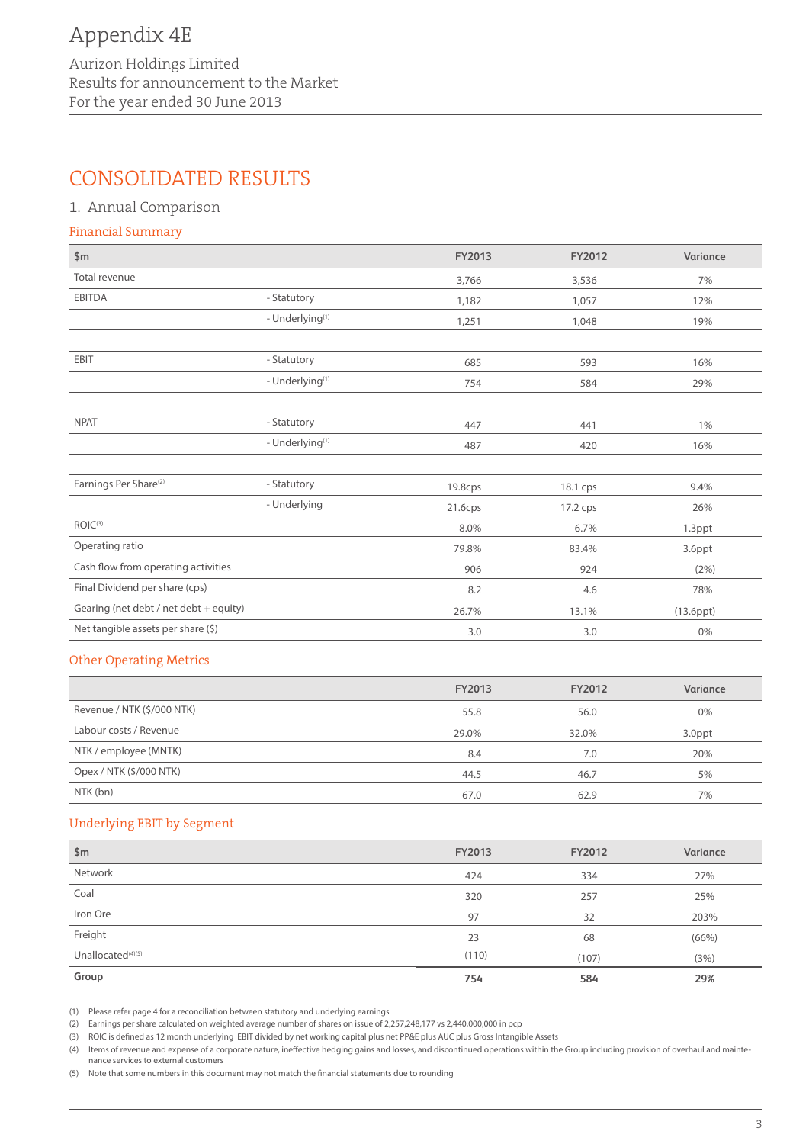# CONSOLIDATED RESULTS

### 1. Annual Comparison

#### Financial Summary

| \$m\$                                  |                             | FY2013  | FY2012   | Variance        |
|----------------------------------------|-----------------------------|---------|----------|-----------------|
| Total revenue                          |                             | 3,766   | 3,536    | 7%              |
| <b>EBITDA</b>                          | - Statutory                 | 1,182   | 1,057    | 12%             |
|                                        | - Underlying <sup>(1)</sup> | 1,251   | 1,048    | 19%             |
|                                        |                             |         |          |                 |
| <b>EBIT</b>                            | - Statutory                 | 685     | 593      | 16%             |
|                                        | - Underlying <sup>(1)</sup> | 754     | 584      | 29%             |
|                                        |                             |         |          |                 |
| <b>NPAT</b>                            | - Statutory                 | 447     | 441      | $1\%$           |
|                                        | - Underlying <sup>(1)</sup> | 487     | 420      | 16%             |
|                                        |                             |         |          |                 |
| Earnings Per Share <sup>(2)</sup>      | - Statutory                 | 19.8cps | 18.1 cps | 9.4%            |
|                                        | - Underlying                | 21.6cps | 17.2 cps | 26%             |
| ROIC(3)                                |                             | 8.0%    | 6.7%     | 1.3ppt          |
| Operating ratio                        |                             | 79.8%   | 83.4%    | 3.6ppt          |
| Cash flow from operating activities    |                             | 906     | 924      | (2%)            |
| Final Dividend per share (cps)         |                             | 8.2     | 4.6      | 78%             |
| Gearing (net debt / net debt + equity) |                             | 26.7%   | 13.1%    | $(13.6$ ppt $)$ |
| Net tangible assets per share (\$)     |                             | 3.0     | 3.0      | $0\%$           |

#### Other Operating Metrics

|                            | FY2013 | FY2012 | Variance |
|----------------------------|--------|--------|----------|
| Revenue / NTK (\$/000 NTK) | 55.8   | 56.0   | $0\%$    |
| Labour costs / Revenue     | 29.0%  | 32.0%  | 3.0ppt   |
| NTK / employee (MNTK)      | 8.4    | 7.0    | 20%      |
| Opex / NTK (\$/000 NTK)    | 44.5   | 46.7   | 5%       |
| NTK (bn)                   | 67.0   | 62.9   | 7%       |

#### Underlying EBIT by Segment

| \$m\$                         | FY2013 | FY2012 | Variance |
|-------------------------------|--------|--------|----------|
| Network                       | 424    | 334    | 27%      |
| Coal                          | 320    | 257    | 25%      |
| Iron Ore                      | 97     | 32     | 203%     |
| Freight                       | 23     | 68     | (66%)    |
| Unallocated <sup>(4)(5)</sup> | (110)  | (107)  | (3%)     |
| Group                         | 754    | 584    | 29%      |

(1) Please refer page 4 for a reconciliation between statutory and underlying earnings

(2) Earnings per share calculated on weighted average number of shares on issue of 2,257,248,177 vs 2,440,000,000 in pcp

(3) ROIC is defined as 12 month underlying EBIT divided by net working capital plus net PP&E plus AUC plus Gross Intangible Assets

(4) Items of revenue and expense of a corporate nature, ineffective hedging gains and losses, and discontinued operations within the Group including provision of overhaul and maintenance services to external customers

(5) Note that some numbers in this document may not match the financial statements due to rounding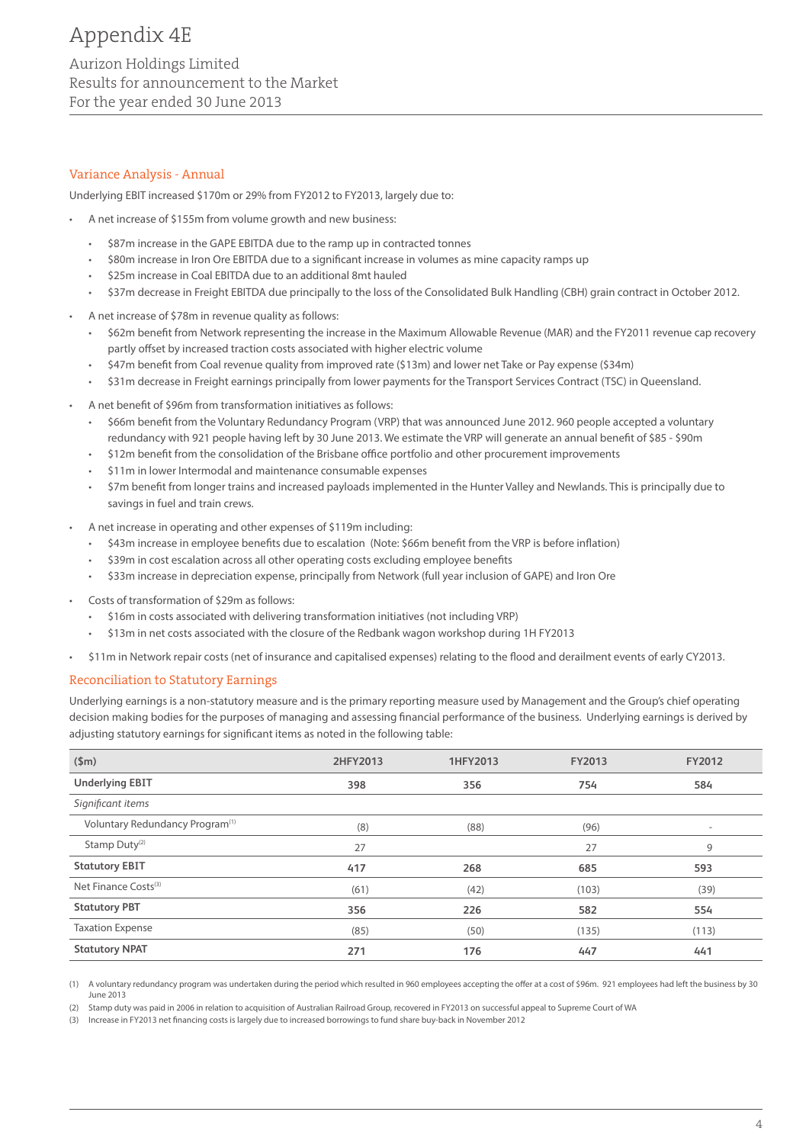# Appendix 4E Aurizon Holdings Limited

Results for announcement to the Market For the year ended 30 June 2013

### Variance Analysis - Annual

Underlying EBIT increased \$170m or 29% from FY2012 to FY2013, largely due to:

- • A net increase of \$155m from volume growth and new business:
	- \$87m increase in the GAPE EBITDA due to the ramp up in contracted tonnes
	- \$80m increase in Iron Ore EBITDA due to a significant increase in volumes as mine capacity ramps up
	- \$25m increase in Coal EBITDA due to an additional 8mt hauled
	- \$37m decrease in Freight EBITDA due principally to the loss of the Consolidated Bulk Handling (CBH) grain contract in October 2012.
- A net increase of \$78m in revenue quality as follows:
	- \$62m benefit from Network representing the increase in the Maximum Allowable Revenue (MAR) and the FY2011 revenue cap recovery partly offset by increased traction costs associated with higher electric volume
	- • \$47m benefit from Coal revenue quality from improved rate (\$13m) and lower net Take or Pay expense (\$34m)
	- \$31m decrease in Freight earnings principally from lower payments for the Transport Services Contract (TSC) in Queensland.
- A net benefit of \$96m from transformation initiatives as follows:
	- • \$66m benefit from the Voluntary Redundancy Program (VRP) that was announced June 2012. 960 people accepted a voluntary redundancy with 921 people having left by 30 June 2013. We estimate the VRP will generate an annual benefit of \$85 - \$90m
	- \$12m benefit from the consolidation of the Brisbane office portfolio and other procurement improvements
	- \$11m in lower Intermodal and maintenance consumable expenses
	- \$7m benefit from longer trains and increased payloads implemented in the Hunter Valley and Newlands. This is principally due to savings in fuel and train crews.
- A net increase in operating and other expenses of \$119m including:
	- • \$43m increase in employee benefits due to escalation (Note: \$66m benefit from the VRP is before inflation)
	- \$39m in cost escalation across all other operating costs excluding employee benefits
	- • \$33m increase in depreciation expense, principally from Network (full year inclusion of GAPE) and Iron Ore
- Costs of transformation of \$29m as follows:
	- \$16m in costs associated with delivering transformation initiatives (not including VRP)
	- \$13m in net costs associated with the closure of the Redbank wagon workshop during 1H FY2013
- \$11m in Network repair costs (net of insurance and capitalised expenses) relating to the flood and derailment events of early CY2013.

#### Reconciliation to Statutory Earnings

Underlying earnings is a non-statutory measure and is the primary reporting measure used by Management and the Group's chief operating decision making bodies for the purposes of managing and assessing financial performance of the business. Underlying earnings is derived by adjusting statutory earnings for significant items as noted in the following table:

| \$m\$                                       | 2HFY2013 | 1HFY2013 | <b>FY2013</b> | FY2012                   |
|---------------------------------------------|----------|----------|---------------|--------------------------|
| <b>Underlying EBIT</b>                      | 398      | 356      | 754           | 584                      |
| Significant items                           |          |          |               |                          |
| Voluntary Redundancy Program <sup>(1)</sup> | (8)      | (88)     | (96)          | $\overline{\phantom{a}}$ |
| Stamp Duty <sup>(2)</sup>                   | 27       |          | 27            | 9                        |
| <b>Statutory EBIT</b>                       | 417      | 268      | 685           | 593                      |
| Net Finance Costs <sup>(3)</sup>            | (61)     | (42)     | (103)         | (39)                     |
| <b>Statutory PBT</b>                        | 356      | 226      | 582           | 554                      |
| <b>Taxation Expense</b>                     | (85)     | (50)     | (135)         | (113)                    |
| <b>Statutory NPAT</b>                       | 271      | 176      | 447           | 441                      |

(1) A voluntary redundancy program was undertaken during the period which resulted in 960 employees accepting the offer at a cost of \$96m. 921 employees had left the business by 30 June 2013

(2) Stamp duty was paid in 2006 in relation to acquisition of Australian Railroad Group, recovered in FY2013 on successful appeal to Supreme Court of WA

(3) Increase in FY2013 net financing costs is largely due to increased borrowings to fund share buy-back in November 2012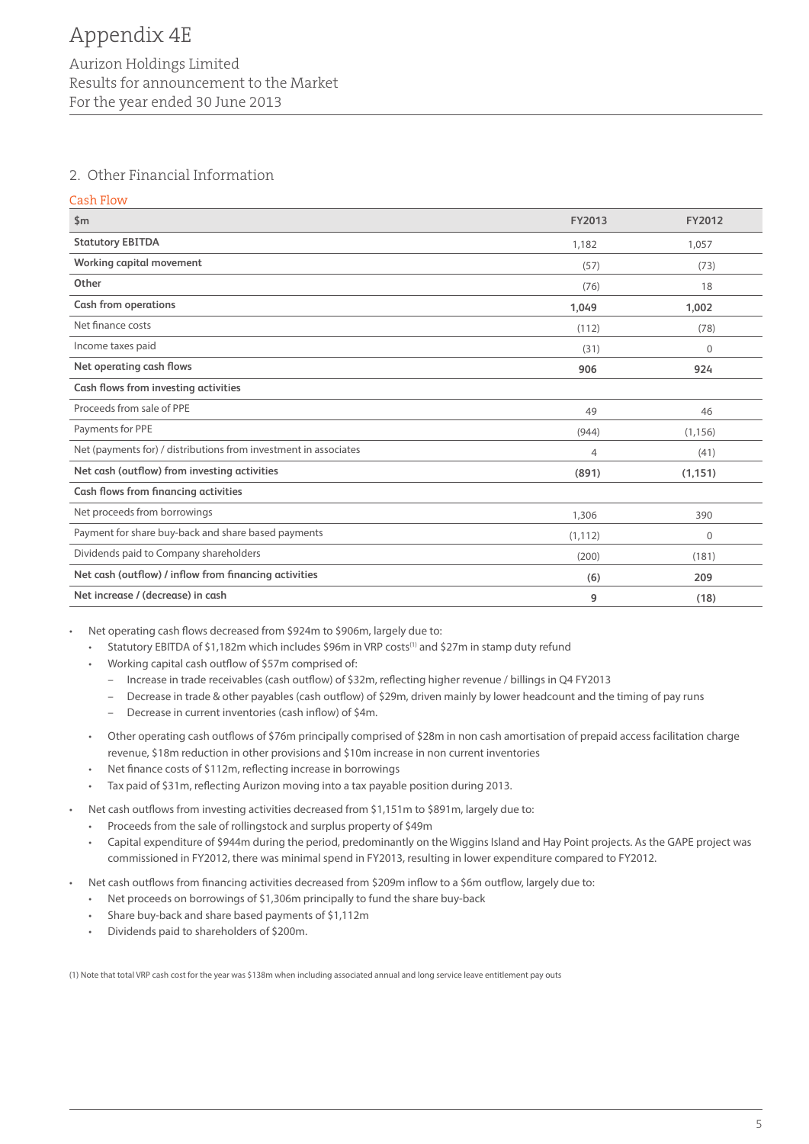# 2. Other Financial Information

Cash Flow

| \$m                                                              | FY2013   | FY2012   |
|------------------------------------------------------------------|----------|----------|
| <b>Statutory EBITDA</b>                                          | 1,182    | 1,057    |
| Working capital movement                                         | (57)     | (73)     |
| Other                                                            | (76)     | 18       |
| <b>Cash from operations</b>                                      | 1,049    | 1,002    |
| Net finance costs                                                | (112)    | (78)     |
| Income taxes paid                                                | (31)     | $\Omega$ |
| Net operating cash flows                                         | 906      | 924      |
| Cash flows from investing activities                             |          |          |
| Proceeds from sale of PPE                                        | 49       | 46       |
| Payments for PPE                                                 | (944)    | (1, 156) |
| Net (payments for) / distributions from investment in associates | 4        | (41)     |
| Net cash (outflow) from investing activities                     | (891)    | (1, 151) |
| Cash flows from financing activities                             |          |          |
| Net proceeds from borrowings                                     | 1,306    | 390      |
| Payment for share buy-back and share based payments              | (1, 112) | 0        |
| Dividends paid to Company shareholders                           | (200)    | (181)    |
| Net cash (outflow) / inflow from financing activities            | (6)      | 209      |
| Net increase / (decrease) in cash                                | 9        | (18)     |

Net operating cash flows decreased from \$924m to \$906m, largely due to:

- Statutory EBITDA of \$1,182m which includes \$96m in VRP costs<sup>(1)</sup> and \$27m in stamp duty refund
- Working capital cash outflow of \$57m comprised of:
	- Increase in trade receivables (cash outflow) of \$32m, reflecting higher revenue / billings in Q4 FY2013
	- Decrease in trade & other payables (cash outflow) of \$29m, driven mainly by lower headcount and the timing of pay runs
	- Decrease in current inventories (cash inflow) of \$4m.
- • Other operating cash outflows of \$76m principally comprised of \$28m in non cash amortisation of prepaid access facilitation charge revenue, \$18m reduction in other provisions and \$10m increase in non current inventories
- Net finance costs of \$112m, reflecting increase in borrowings
- • Tax paid of \$31m, reflecting Aurizon moving into a tax payable position during 2013.
- Net cash outflows from investing activities decreased from \$1,151m to \$891m, largely due to:
	- • Proceeds from the sale of rollingstock and surplus property of \$49m
	- • Capital expenditure of \$944m during the period, predominantly on the Wiggins Island and Hay Point projects. As the GAPE project was commissioned in FY2012, there was minimal spend in FY2013, resulting in lower expenditure compared to FY2012.
- Net cash outflows from financing activities decreased from \$209m inflow to a \$6m outflow, largely due to:
	- Net proceeds on borrowings of \$1,306m principally to fund the share buy-back
	- Share buy-back and share based payments of \$1,112m
	- • Dividends paid to shareholders of \$200m.

(1) Note that total VRP cash cost for the year was \$138m when including associated annual and long service leave entitlement pay outs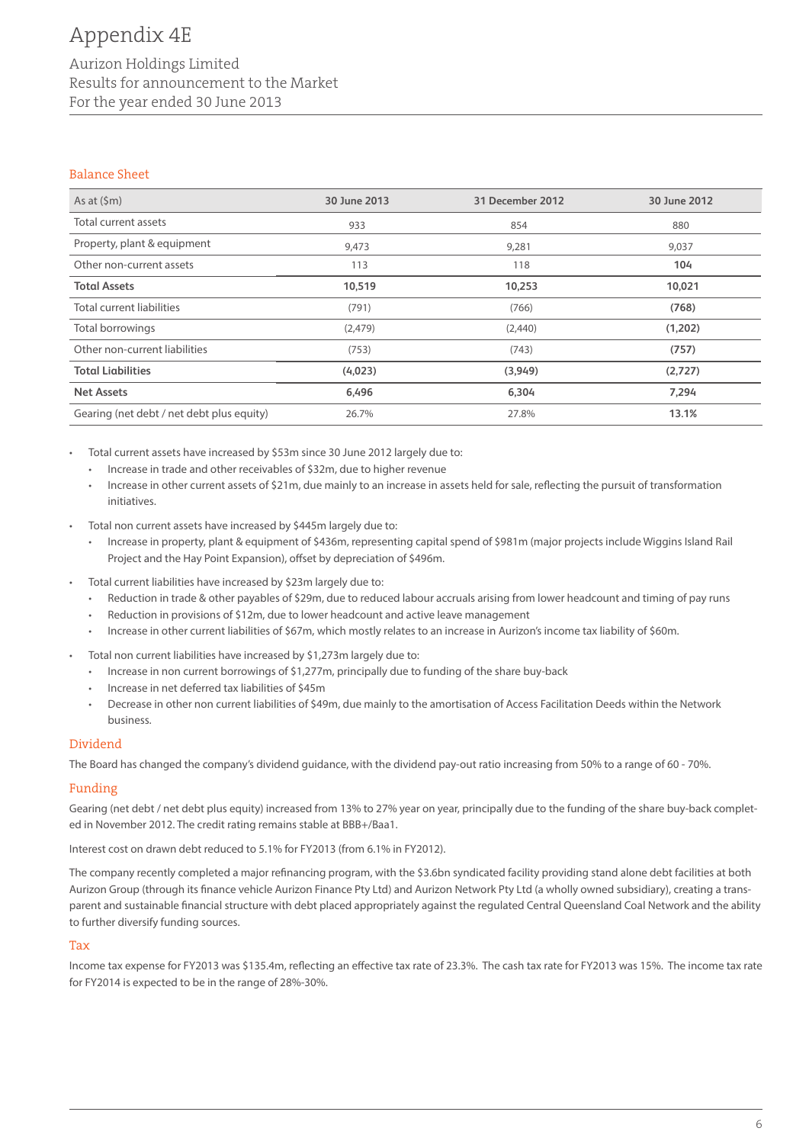# Appendix 4E

## Aurizon Holdings Limited Results for announcement to the Market For the year ended 30 June 2013

#### Balance Sheet

| As at $(\mathsf{Sm})$                     | 30 June 2013 | 31 December 2012 | 30 June 2012 |
|-------------------------------------------|--------------|------------------|--------------|
| Total current assets                      | 933          | 854              | 880          |
| Property, plant & equipment               | 9,473        | 9,281            | 9,037        |
| Other non-current assets                  | 113          | 118              | 104          |
| <b>Total Assets</b>                       | 10,519       | 10,253           | 10,021       |
| Total current liabilities                 | (791)        | (766)            | (768)        |
| Total borrowings                          | (2,479)      | (2,440)          | (1,202)      |
| Other non-current liabilities             | (753)        | (743)            | (757)        |
| <b>Total Liabilities</b>                  | (4,023)      | (3,949)          | (2,727)      |
| <b>Net Assets</b>                         | 6,496        | 6,304            | 7,294        |
| Gearing (net debt / net debt plus equity) | 26.7%        | 27.8%            | 13.1%        |

Total current assets have increased by \$53m since 30 June 2012 largely due to:

- • Increase in trade and other receivables of \$32m, due to higher revenue
- Increase in other current assets of \$21m, due mainly to an increase in assets held for sale, reflecting the pursuit of transformation initiatives.
- Total non current assets have increased by \$445m largely due to:
	- • Increase in property, plant & equipment of \$436m, representing capital spend of \$981m (major projects include Wiggins Island Rail Project and the Hay Point Expansion), offset by depreciation of \$496m.
- Total current liabilities have increased by \$23m largely due to:
	- • Reduction in trade & other payables of \$29m, due to reduced labour accruals arising from lower headcount and timing of pay runs
	- Reduction in provisions of \$12m, due to lower headcount and active leave management
	- • Increase in other current liabilities of \$67m, which mostly relates to an increase in Aurizon's income tax liability of \$60m.
- Total non current liabilities have increased by \$1,273m largely due to:
	- Increase in non current borrowings of \$1,277m, principally due to funding of the share buy-back
	- Increase in net deferred tax liabilities of \$45m
	- Decrease in other non current liabilities of \$49m, due mainly to the amortisation of Access Facilitation Deeds within the Network business.

#### Dividend

The Board has changed the company's dividend guidance, with the dividend pay-out ratio increasing from 50% to a range of 60 - 70%.

#### Funding

Gearing (net debt / net debt plus equity) increased from 13% to 27% year on year, principally due to the funding of the share buy-back completed in November 2012. The credit rating remains stable at BBB+/Baa1.

Interest cost on drawn debt reduced to 5.1% for FY2013 (from 6.1% in FY2012).

The company recently completed a major refinancing program, with the \$3.6bn syndicated facility providing stand alone debt facilities at both Aurizon Group (through its finance vehicle Aurizon Finance Pty Ltd) and Aurizon Network Pty Ltd (a wholly owned subsidiary), creating a transparent and sustainable financial structure with debt placed appropriately against the regulated Central Queensland Coal Network and the ability to further diversify funding sources.

#### Tax

Income tax expense for FY2013 was \$135.4m, reflecting an effective tax rate of 23.3%. The cash tax rate for FY2013 was 15%. The income tax rate for FY2014 is expected to be in the range of 28%-30%.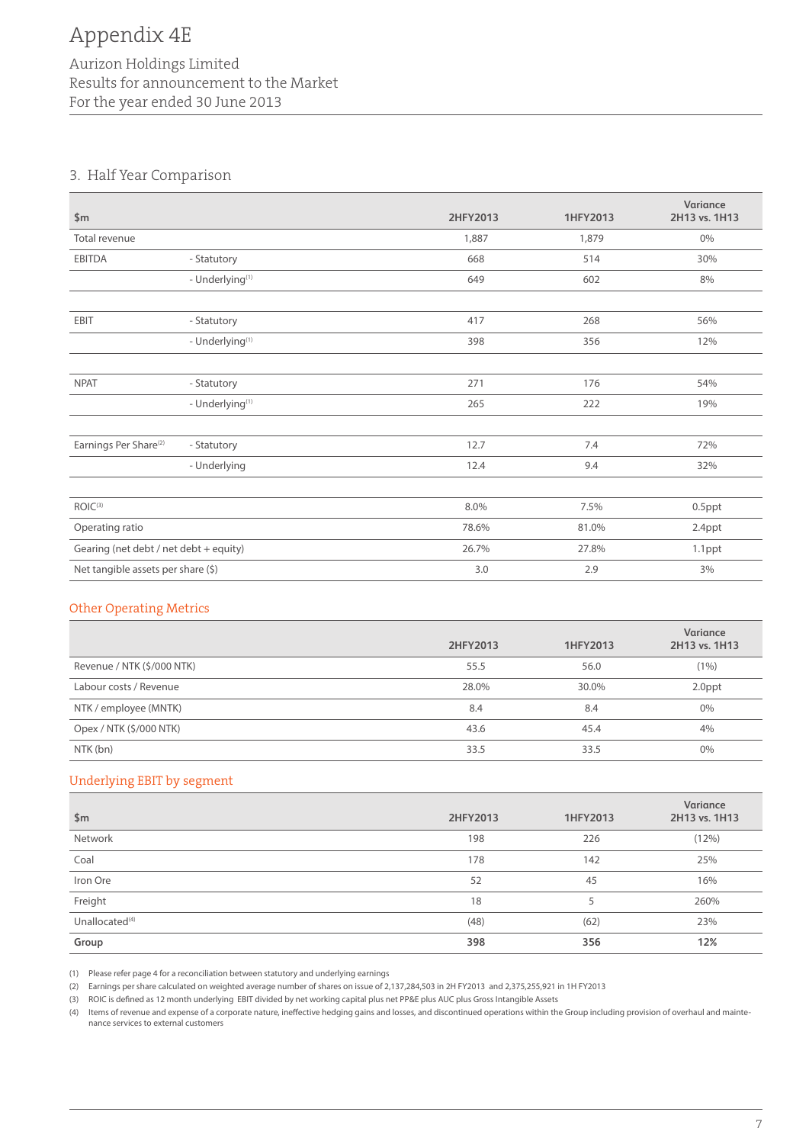# Aurizon Holdings Limited Results for announcement to the Market For the year ended 30 June 2013

# 3. Half Year Comparison

| \$m\$                                  |                             | 2HFY2013 | 1HFY2013 | Variance<br>2H13 vs. 1H13 |
|----------------------------------------|-----------------------------|----------|----------|---------------------------|
| Total revenue                          |                             | 1,887    | 1,879    | $0\%$                     |
| <b>EBITDA</b>                          | - Statutory                 | 668      | 514      | 30%                       |
|                                        | - Underlying <sup>(1)</sup> | 649      | 602      | 8%                        |
|                                        |                             |          |          |                           |
| EBIT                                   | - Statutory                 | 417      | 268      | 56%                       |
|                                        | - Underlying <sup>(1)</sup> | 398      | 356      | 12%                       |
|                                        |                             |          |          |                           |
| <b>NPAT</b>                            | - Statutory                 | 271      | 176      | 54%                       |
|                                        | - Underlying <sup>(1)</sup> | 265      | 222      | 19%                       |
|                                        |                             |          |          |                           |
| Earnings Per Share <sup>(2)</sup>      | - Statutory                 | 12.7     | 7.4      | 72%                       |
|                                        | - Underlying                | 12.4     | 9.4      | 32%                       |
|                                        |                             |          |          |                           |
| ROIC <sup>(3)</sup>                    |                             | 8.0%     | 7.5%     | $0.5$ ppt                 |
| Operating ratio                        |                             | 78.6%    | 81.0%    | 2.4ppt                    |
| Gearing (net debt / net debt + equity) |                             | 26.7%    | 27.8%    | 1.1ppt                    |
| Net tangible assets per share (\$)     |                             | 3.0      | 2.9      | 3%                        |

#### Other Operating Metrics

|                            | 2HFY2013 | 1HFY2013 | Variance<br>2H13 vs. 1H13 |
|----------------------------|----------|----------|---------------------------|
| Revenue / NTK (\$/000 NTK) | 55.5     | 56.0     | $(1\%)$                   |
| Labour costs / Revenue     | 28.0%    | 30.0%    | 2.0ppt                    |
| NTK / employee (MNTK)      | 8.4      | 8.4      | $0\%$                     |
| Opex / NTK (\$/000 NTK)    | 43.6     | 45.4     | 4%                        |
| NTK (bn)                   | 33.5     | 33.5     | $0\%$                     |

# Underlying EBIT by segment

| \$m\$                      | 2HFY2013 | 1HFY2013 | Variance<br>2H13 vs. 1H13 |
|----------------------------|----------|----------|---------------------------|
| Network                    | 198      | 226      | (12%)                     |
| Coal                       | 178      | 142      | 25%                       |
| Iron Ore                   | 52       | 45       | 16%                       |
| Freight                    | 18       |          | 260%                      |
| Unallocated <sup>(4)</sup> | (48)     | (62)     | 23%                       |
| Group                      | 398      | 356      | 12%                       |

(1) Please refer page 4 for a reconciliation between statutory and underlying earnings

(2) Earnings per share calculated on weighted average number of shares on issue of 2,137,284,503 in 2H FY2013 and 2,375,255,921 in 1H FY2013

(3) ROIC is defined as 12 month underlying EBIT divided by net working capital plus net PP&E plus AUC plus Gross Intangible Assets

(4) Items of revenue and expense of a corporate nature, ineffective hedging gains and losses, and discontinued operations within the Group including provision of overhaul and maintenance services to external customers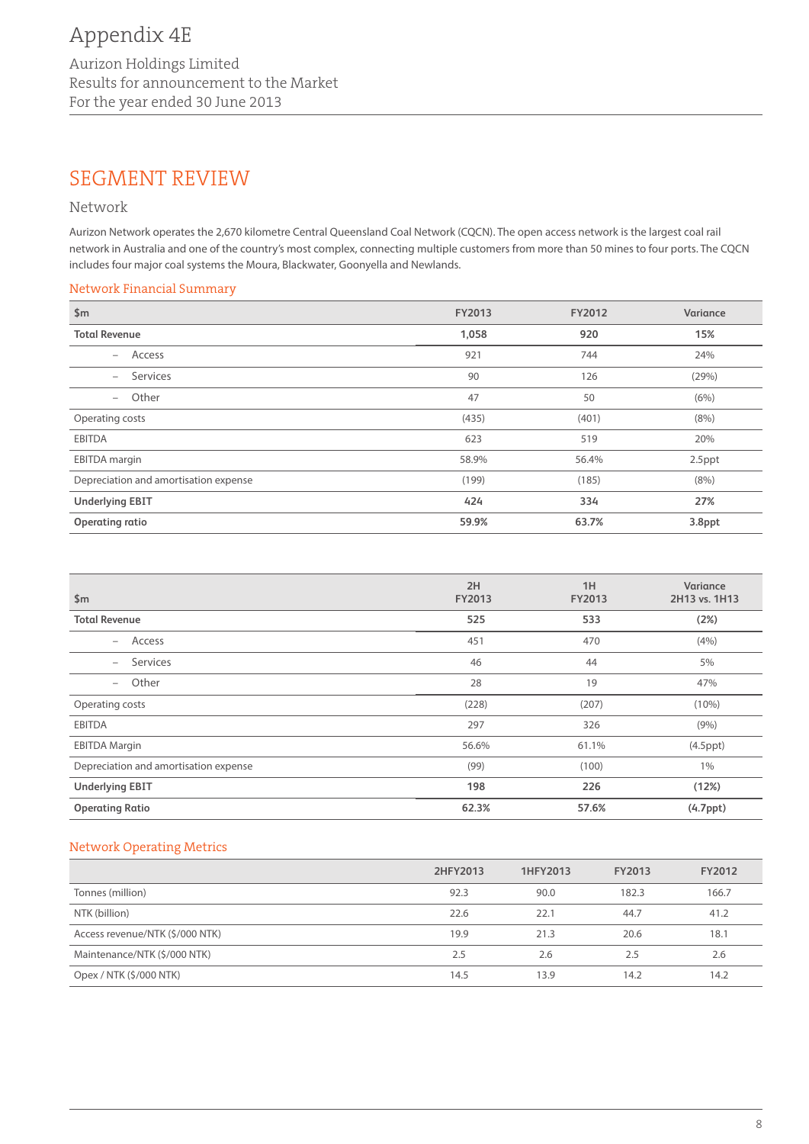# SEGMENT REVIEW

### Network

Aurizon Network operates the 2,670 kilometre Central Queensland Coal Network (CQCN). The open access network is the largest coal rail network in Australia and one of the country's most complex, connecting multiple customers from more than 50 mines to four ports. The CQCN includes four major coal systems the Moura, Blackwater, Goonyella and Newlands.

#### Network Financial Summary

| \$m\$                                 | FY2013 | FY2012 | Variance |
|---------------------------------------|--------|--------|----------|
| <b>Total Revenue</b>                  | 1,058  | 920    | 15%      |
| Access<br>$-$                         | 921    | 744    | 24%      |
| Services<br>$-$                       | 90     | 126    | (29%)    |
| Other<br>$-$                          | 47     | 50     | (6%)     |
| Operating costs                       | (435)  | (401)  | (8%)     |
| <b>EBITDA</b>                         | 623    | 519    | 20%      |
| <b>EBITDA</b> margin                  | 58.9%  | 56.4%  | 2.5ppt   |
| Depreciation and amortisation expense | (199)  | (185)  | (8%)     |
| <b>Underlying EBIT</b>                | 424    | 334    | 27%      |
| Operating ratio                       | 59.9%  | 63.7%  | 3.8ppt   |

| \$m\$                                 | 2H<br><b>FY2013</b> | 1H<br>FY2013 | Variance<br>2H13 vs. 1H13 |
|---------------------------------------|---------------------|--------------|---------------------------|
| <b>Total Revenue</b>                  | 525                 | 533          | (2%)                      |
| Access<br>$ \,$                       | 451                 | 470          | (4% )                     |
| Services<br>$-$                       | 46                  | 44           | 5%                        |
| Other<br>$-$                          | 28                  | 19           | 47%                       |
| Operating costs                       | (228)               | (207)        | $(10\%)$                  |
| <b>EBITDA</b>                         | 297                 | 326          | (9% )                     |
| <b>EBITDA Margin</b>                  | 56.6%               | 61.1%        | $(4.5$ ppt $)$            |
| Depreciation and amortisation expense | (99)                | (100)        | $1\%$                     |
| <b>Underlying EBIT</b>                | 198                 | 226          | (12%)                     |
| <b>Operating Ratio</b>                | 62.3%               | 57.6%        | (4.7 <sub>ppt</sub> )     |

# Network Operating Metrics

|                                 | 2HFY2013 | 1HFY2013 | FY2013 | FY2012 |
|---------------------------------|----------|----------|--------|--------|
| Tonnes (million)                | 92.3     | 90.0     | 182.3  | 166.7  |
| NTK (billion)                   | 22.6     | 22.1     | 44.7   | 41.2   |
| Access revenue/NTK (\$/000 NTK) | 19.9     | 21.3     | 20.6   | 18.1   |
| Maintenance/NTK (\$/000 NTK)    | 2.5      | 2.6      | 2.5    | 2.6    |
| Opex / NTK (\$/000 NTK)         | 14.5     | 13.9     | 14.2   | 14.2   |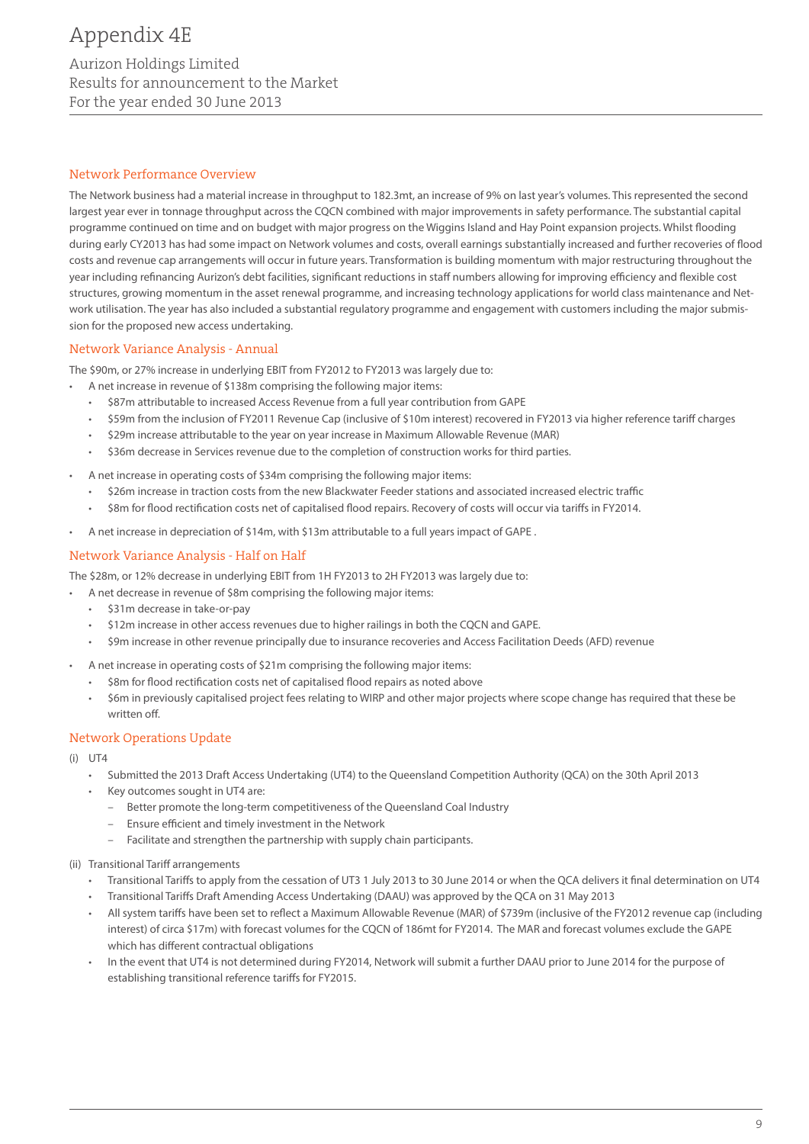# Appendix 4E

# Aurizon Holdings Limited Results for announcement to the Market For the year ended 30 June 2013

#### Network Performance Overview

The Network business had a material increase in throughput to 182.3mt, an increase of 9% on last year's volumes. This represented the second largest year ever in tonnage throughput across the CQCN combined with major improvements in safety performance. The substantial capital programme continued on time and on budget with major progress on the Wiggins Island and Hay Point expansion projects. Whilst flooding during early CY2013 has had some impact on Network volumes and costs, overall earnings substantially increased and further recoveries of flood costs and revenue cap arrangements will occur in future years. Transformation is building momentum with major restructuring throughout the year including refinancing Aurizon's debt facilities, significant reductions in staff numbers allowing for improving efficiency and flexible cost structures, growing momentum in the asset renewal programme, and increasing technology applications for world class maintenance and Network utilisation. The year has also included a substantial regulatory programme and engagement with customers including the major submission for the proposed new access undertaking.

#### Network Variance Analysis - Annual

The \$90m, or 27% increase in underlying EBIT from FY2012 to FY2013 was largely due to:

- • A net increase in revenue of \$138m comprising the following major items:
	- \$87m attributable to increased Access Revenue from a full year contribution from GAPE
	- \$59m from the inclusion of FY2011 Revenue Cap (inclusive of \$10m interest) recovered in FY2013 via higher reference tariff charges
	- \$29m increase attributable to the year on year increase in Maximum Allowable Revenue (MAR)
	- • \$36m decrease in Services revenue due to the completion of construction works for third parties.
- A net increase in operating costs of \$34m comprising the following major items:
	- \$26m increase in traction costs from the new Blackwater Feeder stations and associated increased electric traffic
	- \$8m for flood rectification costs net of capitalised flood repairs. Recovery of costs will occur via tariffs in FY2014.
- A net increase in depreciation of \$14m, with \$13m attributable to a full years impact of GAPE.

#### Network Variance Analysis - Half on Half

The \$28m, or 12% decrease in underlying EBIT from 1H FY2013 to 2H FY2013 was largely due to:

- A net decrease in revenue of \$8m comprising the following major items:
- \$31m decrease in take-or-pay
- \$12m increase in other access revenues due to higher railings in both the CQCN and GAPE.
- • \$9m increase in other revenue principally due to insurance recoveries and Access Facilitation Deeds (AFD) revenue
- A net increase in operating costs of \$21m comprising the following major items:
	- \$8m for flood rectification costs net of capitalised flood repairs as noted above
	- \$6m in previously capitalised project fees relating to WIRP and other major projects where scope change has required that these be written off.

#### Network Operations Update

- $(i)$  UT4
	- • Submitted the 2013 Draft Access Undertaking (UT4) to the Queensland Competition Authority (QCA) on the 30th April 2013
	- Key outcomes sought in UT4 are:
		- Better promote the long-term competitiveness of the Queensland Coal Industry
		- Ensure efficient and timely investment in the Network
		- Facilitate and strengthen the partnership with supply chain participants.
- (ii) Transitional Tariff arrangements
	- • Transitional Tariffs to apply from the cessation of UT3 1 July 2013 to 30 June 2014 or when the QCA delivers it final determination on UT4
	- Transitional Tariffs Draft Amending Access Undertaking (DAAU) was approved by the QCA on 31 May 2013
	- All system tariffs have been set to reflect a Maximum Allowable Revenue (MAR) of \$739m (inclusive of the FY2012 revenue cap (including interest) of circa \$17m) with forecast volumes for the CQCN of 186mt for FY2014. The MAR and forecast volumes exclude the GAPE which has different contractual obligations
	- In the event that UT4 is not determined during FY2014, Network will submit a further DAAU prior to June 2014 for the purpose of establishing transitional reference tariffs for FY2015.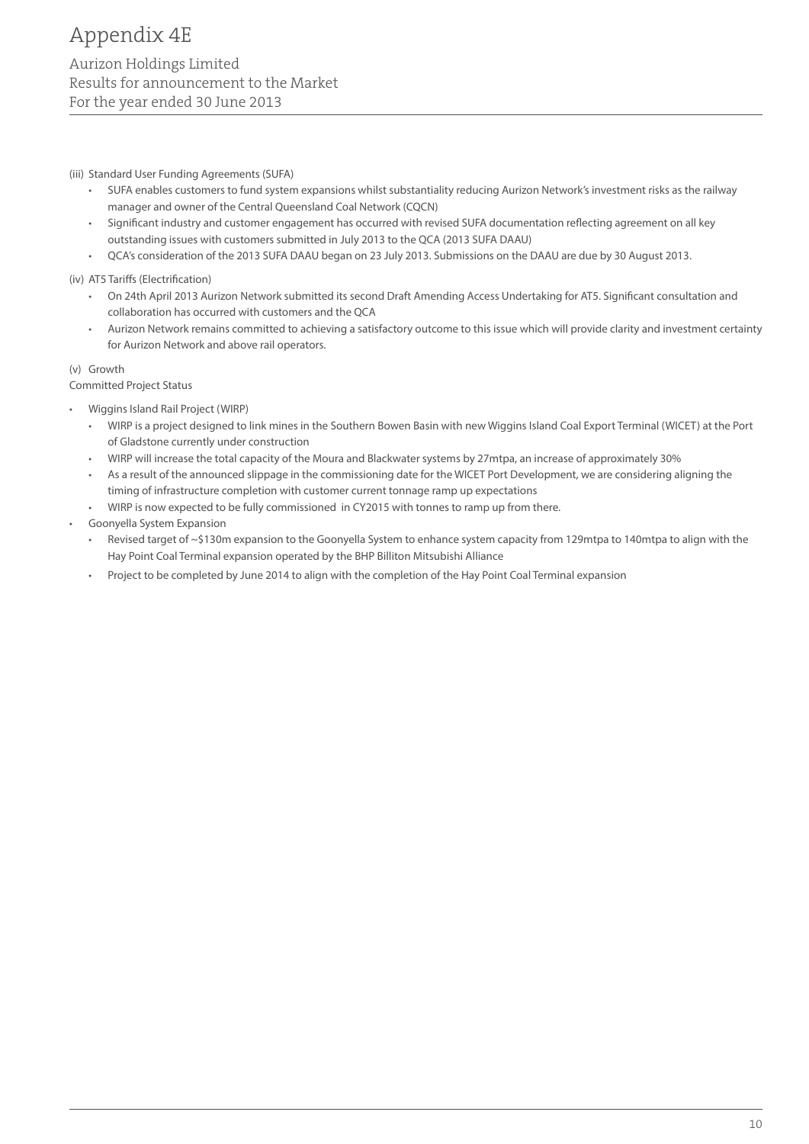(iii) Standard User Funding Agreements (SUFA)

- • SUFA enables customers to fund system expansions whilst substantiality reducing Aurizon Network's investment risks as the railway manager and owner of the Central Queensland Coal Network (CQCN)
- Significant industry and customer engagement has occurred with revised SUFA documentation reflecting agreement on all key outstanding issues with customers submitted in July 2013 to the QCA (2013 SUFA DAAU)
- • QCA's consideration of the 2013 SUFA DAAU began on 23 July 2013. Submissions on the DAAU are due by 30 August 2013.

(iv) AT5 Tariffs (Electrification)

- • On 24th April 2013 Aurizon Network submitted its second Draft Amending Access Undertaking for AT5. Significant consultation and collaboration has occurred with customers and the QCA
- Aurizon Network remains committed to achieving a satisfactory outcome to this issue which will provide clarity and investment certainty for Aurizon Network and above rail operators.

(v) Growth

Committed Project Status

- Wiggins Island Rail Project (WIRP)
	- WIRP is a project designed to link mines in the Southern Bowen Basin with new Wiggins Island Coal Export Terminal (WICET) at the Port of Gladstone currently under construction
	- • WIRP will increase the total capacity of the Moura and Blackwater systems by 27mtpa, an increase of approximately 30%
	- • As a result of the announced slippage in the commissioning date for the WICET Port Development, we are considering aligning the timing of infrastructure completion with customer current tonnage ramp up expectations
	- • WIRP is now expected to be fully commissioned in CY2015 with tonnes to ramp up from there.
- Goonyella System Expansion
	- Revised target of  $\sim$ \$130m expansion to the Goonyella System to enhance system capacity from 129mtpa to 140mtpa to align with the Hay Point Coal Terminal expansion operated by the BHP Billiton Mitsubishi Alliance
	- Project to be completed by June 2014 to align with the completion of the Hay Point Coal Terminal expansion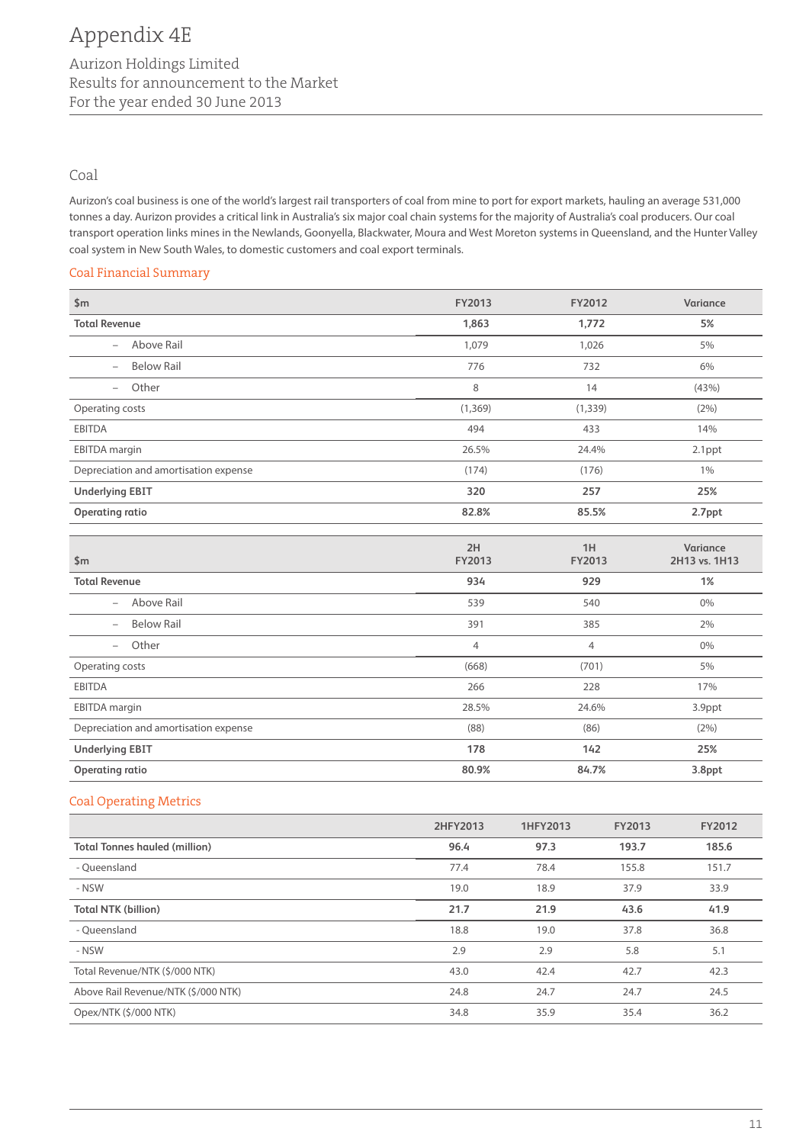## Coal

Aurizon's coal business is one of the world's largest rail transporters of coal from mine to port for export markets, hauling an average 531,000 tonnes a day. Aurizon provides a critical link in Australia's six major coal chain systems for the majority of Australia's coal producers. Our coal transport operation links mines in the Newlands, Goonyella, Blackwater, Moura and West Moreton systems in Queensland, and the Hunter Valley coal system in New South Wales, to domestic customers and coal export terminals.

#### Coal Financial Summary

| \$m\$                                         | FY2013         | FY2012         | Variance                  |
|-----------------------------------------------|----------------|----------------|---------------------------|
| <b>Total Revenue</b>                          | 1,863          | 1,772          | 5%                        |
| Above Rail<br>$\overline{\phantom{0}}$        | 1,079          | 1,026          | 5%                        |
| <b>Below Rail</b><br>$\overline{\phantom{0}}$ | 776            | 732            | 6%                        |
| Other<br>$\overline{\phantom{0}}$             | 8              | 14             | (43%)                     |
| Operating costs                               | (1, 369)       | (1, 339)       | (2%)                      |
| <b>EBITDA</b>                                 | 494            | 433            | 14%                       |
| <b>EBITDA</b> margin                          | 26.5%          | 24.4%          | 2.1ppt                    |
| Depreciation and amortisation expense         | (174)          | (176)          | $1\%$                     |
| <b>Underlying EBIT</b>                        | 320            | 257            | 25%                       |
| <b>Operating ratio</b>                        | 82.8%          | 85.5%          | 2.7ppt                    |
| \$m\$                                         | 2H<br>FY2013   | 1H<br>FY2013   | Variance<br>2H13 vs. 1H13 |
| <b>Total Revenue</b>                          | 934            | 929            | 1%                        |
| Above Rail<br>$\overline{\phantom{0}}$        | 539            | 540            | $0\%$                     |
| <b>Below Rail</b><br>$\overline{\phantom{0}}$ | 391            | 385            | 2%                        |
| Other<br>$\overline{\phantom{0}}$             | $\overline{4}$ | $\overline{4}$ | $0\%$                     |
| Operating costs                               | (668)          | (701)          | 5%                        |
| <b>EBITDA</b>                                 | 266            | 228            | 17%                       |
| <b>EBITDA</b> margin                          | 28.5%          | 24.6%          | 3.9ppt                    |
| Depreciation and amortisation expense         | (88)           | (86)           | (2%)                      |
| <b>Underlying EBIT</b>                        | 178            | 142            | 25%                       |
| <b>Operating ratio</b>                        | 80.9%          | 84.7%          | 3.8ppt                    |

#### Coal Operating Metrics

|                                      | 2HFY2013 | 1HFY2013 | <b>FY2013</b> | FY2012 |
|--------------------------------------|----------|----------|---------------|--------|
| <b>Total Tonnes hauled (million)</b> | 96.4     | 97.3     | 193.7         | 185.6  |
| - Oueensland                         | 77.4     | 78.4     | 155.8         | 151.7  |
| - NSW                                | 19.0     | 18.9     | 37.9          | 33.9   |
| <b>Total NTK (billion)</b>           | 21.7     | 21.9     | 43.6          | 41.9   |
| - Oueensland                         | 18.8     | 19.0     | 37.8          | 36.8   |
| - NSW                                | 2.9      | 2.9      | 5.8           | 5.1    |
| Total Revenue/NTK (\$/000 NTK)       | 43.0     | 42.4     | 42.7          | 42.3   |
| Above Rail Revenue/NTK (\$/000 NTK)  | 24.8     | 24.7     | 24.7          | 24.5   |
| Opex/NTK (\$/000 NTK)                | 34.8     | 35.9     | 35.4          | 36.2   |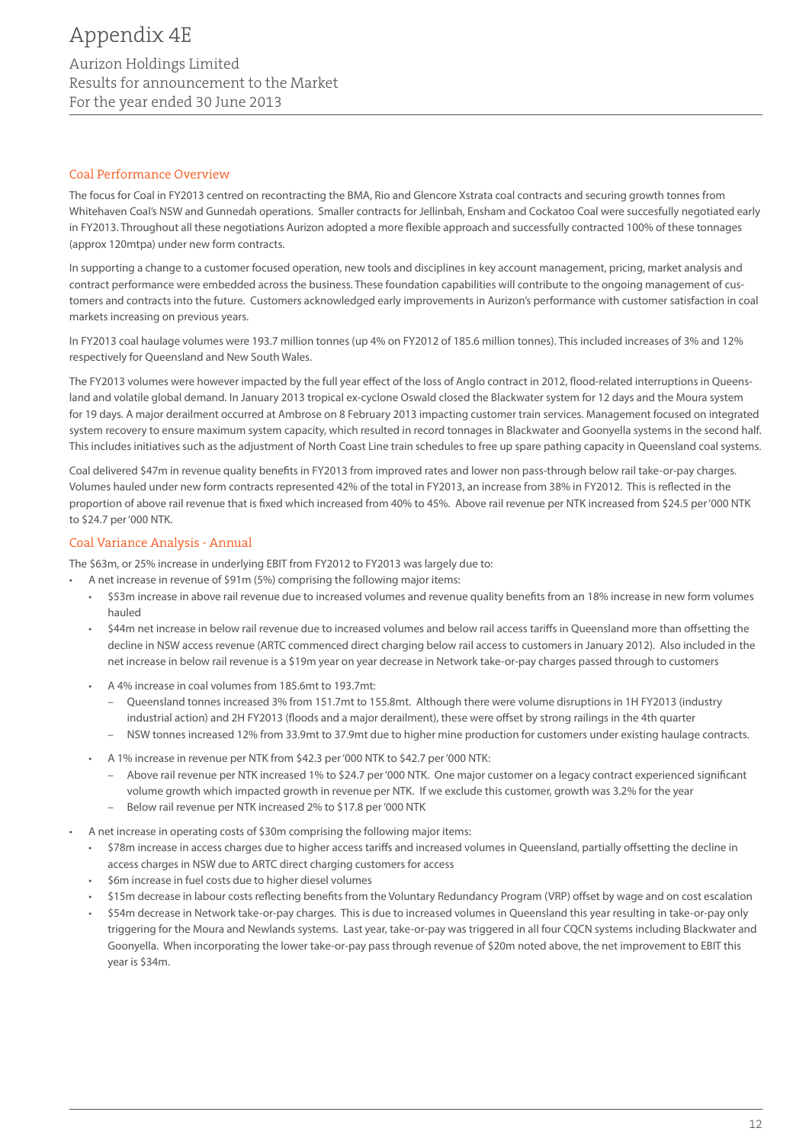#### Coal Performance Overview

The focus for Coal in FY2013 centred on recontracting the BMA, Rio and Glencore Xstrata coal contracts and securing growth tonnes from Whitehaven Coal's NSW and Gunnedah operations. Smaller contracts for Jellinbah, Ensham and Cockatoo Coal were succesfully negotiated early in FY2013. Throughout all these negotiations Aurizon adopted a more flexible approach and successfully contracted 100% of these tonnages (approx 120mtpa) under new form contracts.

In supporting a change to a customer focused operation, new tools and disciplines in key account management, pricing, market analysis and contract performance were embedded across the business. These foundation capabilities will contribute to the ongoing management of customers and contracts into the future. Customers acknowledged early improvements in Aurizon's performance with customer satisfaction in coal markets increasing on previous years.

In FY2013 coal haulage volumes were 193.7 million tonnes (up 4% on FY2012 of 185.6 million tonnes). This included increases of 3% and 12% respectively for Queensland and New South Wales.

The FY2013 volumes were however impacted by the full year effect of the loss of Anglo contract in 2012, flood-related interruptions in Queensland and volatile global demand. In January 2013 tropical ex-cyclone Oswald closed the Blackwater system for 12 days and the Moura system for 19 days. A major derailment occurred at Ambrose on 8 February 2013 impacting customer train services. Management focused on integrated system recovery to ensure maximum system capacity, which resulted in record tonnages in Blackwater and Goonyella systems in the second half. This includes initiatives such as the adjustment of North Coast Line train schedules to free up spare pathing capacity in Queensland coal systems.

Coal delivered \$47m in revenue quality benefits in FY2013 from improved rates and lower non pass-through below rail take-or-pay charges. Volumes hauled under new form contracts represented 42% of the total in FY2013, an increase from 38% in FY2012. This is reflected in the proportion of above rail revenue that is fixed which increased from 40% to 45%. Above rail revenue per NTK increased from \$24.5 per '000 NTK to \$24.7 per '000 NTK.

#### Coal Variance Analysis - Annual

The \$63m, or 25% increase in underlying EBIT from FY2012 to FY2013 was largely due to:

- A net increase in revenue of \$91m (5%) comprising the following major items:
	- \$53m increase in above rail revenue due to increased volumes and revenue quality benefits from an 18% increase in new form volumes hauled
	- \$44m net increase in below rail revenue due to increased volumes and below rail access tariffs in Queensland more than offsetting the decline in NSW access revenue (ARTC commenced direct charging below rail access to customers in January 2012). Also included in the net increase in below rail revenue is a \$19m year on year decrease in Network take-or-pay charges passed through to customers
	- A 4% increase in coal volumes from 185.6mt to 193.7mt:
		- Queensland tonnes increased 3% from 151.7mt to 155.8mt. Although there were volume disruptions in 1H FY2013 (industry industrial action) and 2H FY2013 (floods and a major derailment), these were offset by strong railings in the 4th quarter
		- NSW tonnes increased 12% from 33.9mt to 37.9mt due to higher mine production for customers under existing haulage contracts.
	- A 1% increase in revenue per NTK from \$42.3 per '000 NTK to \$42.7 per '000 NTK:
		- Above rail revenue per NTK increased 1% to \$24.7 per '000 NTK. One major customer on a legacy contract experienced significant volume growth which impacted growth in revenue per NTK. If we exclude this customer, growth was 3.2% for the year
		- Below rail revenue per NTK increased 2% to \$17.8 per '000 NTK
- A net increase in operating costs of \$30m comprising the following major items:
	- • \$78m increase in access charges due to higher access tariffs and increased volumes in Queensland, partially offsetting the decline in access charges in NSW due to ARTC direct charging customers for access
	- \$6m increase in fuel costs due to higher diesel volumes
	- \$15m decrease in labour costs reflecting benefits from the Voluntary Redundancy Program (VRP) offset by wage and on cost escalation
	- \$54m decrease in Network take-or-pay charges. This is due to increased volumes in Queensland this year resulting in take-or-pay only triggering for the Moura and Newlands systems. Last year, take-or-pay was triggered in all four CQCN systems including Blackwater and Goonyella. When incorporating the lower take-or-pay pass through revenue of \$20m noted above, the net improvement to EBIT this year is \$34m.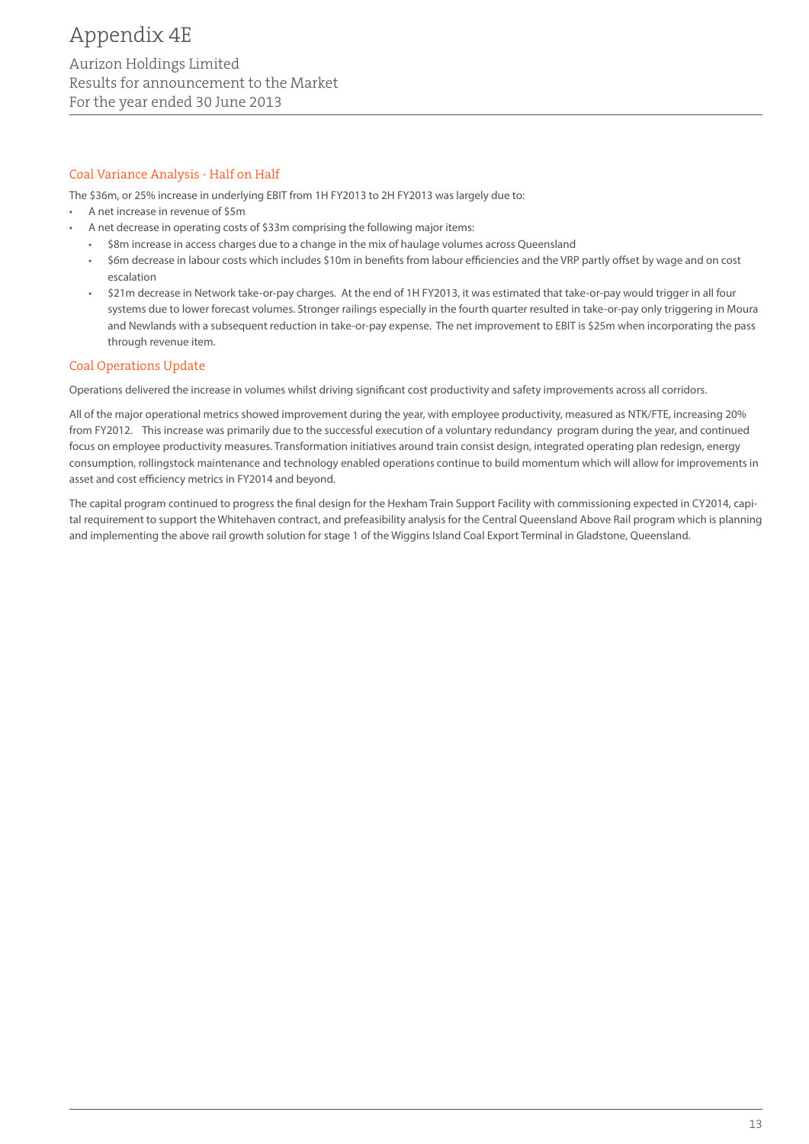#### Coal Variance Analysis - Half on Half

The \$36m, or 25% increase in underlying EBIT from 1H FY2013 to 2H FY2013 was largely due to:

- A net increase in revenue of \$5m
	- A net decrease in operating costs of \$33m comprising the following major items:
	- \$8m increase in access charges due to a change in the mix of haulage volumes across Queensland
	- \$6m decrease in labour costs which includes \$10m in benefits from labour efficiencies and the VRP partly offset by wage and on cost escalation
	- \$21m decrease in Network take-or-pay charges. At the end of 1H FY2013, it was estimated that take-or-pay would trigger in all four systems due to lower forecast volumes. Stronger railings especially in the fourth quarter resulted in take-or-pay only triggering in Moura and Newlands with a subsequent reduction in take-or-pay expense. The net improvement to EBIT is \$25m when incorporating the pass through revenue item.

#### Coal Operations Update

Operations delivered the increase in volumes whilst driving significant cost productivity and safety improvements across all corridors.

All of the major operational metrics showed improvement during the year, with employee productivity, measured as NTK/FTE, increasing 20% from FY2012. This increase was primarily due to the successful execution of a voluntary redundancy program during the year, and continued focus on employee productivity measures. Transformation initiatives around train consist design, integrated operating plan redesign, energy consumption, rollingstock maintenance and technology enabled operations continue to build momentum which will allow for improvements in asset and cost efficiency metrics in FY2014 and beyond.

The capital program continued to progress the final design for the Hexham Train Support Facility with commissioning expected in CY2014, capital requirement to support the Whitehaven contract, and prefeasibility analysis for the Central Queensland Above Rail program which is planning and implementing the above rail growth solution for stage 1 of the Wiggins Island Coal Export Terminal in Gladstone, Queensland.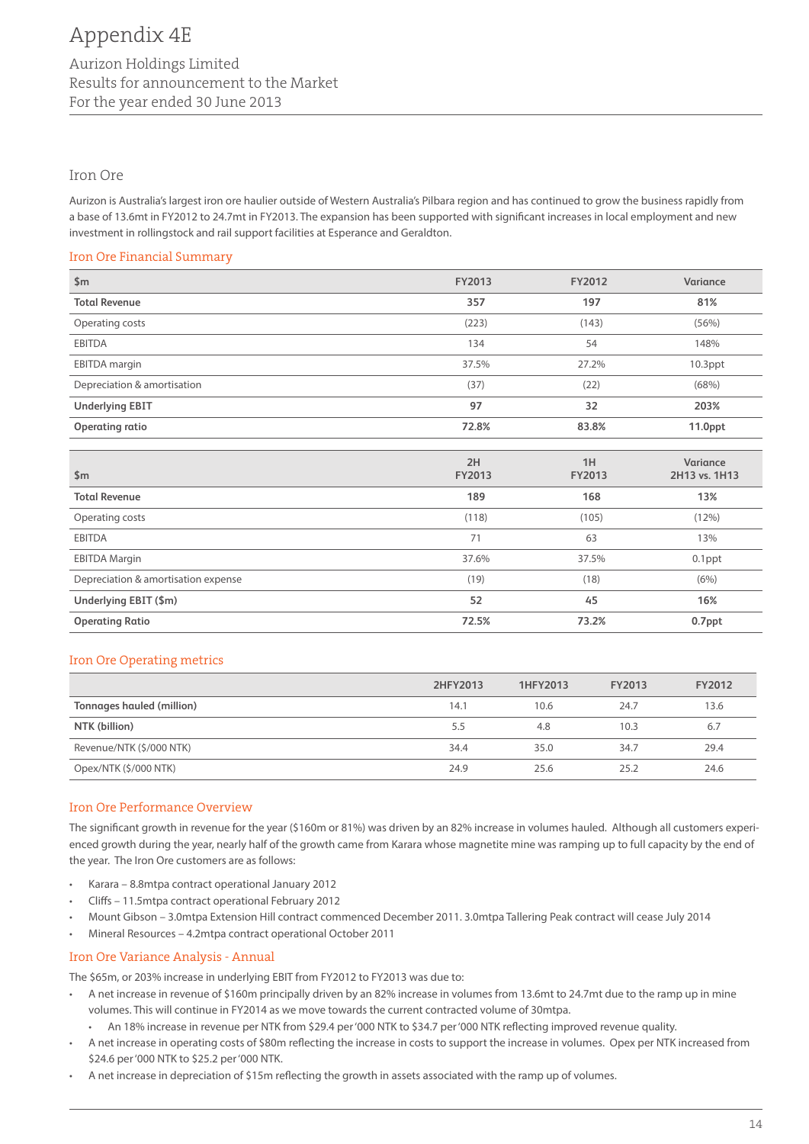#### Iron Ore

Aurizon is Australia's largest iron ore haulier outside of Western Australia's Pilbara region and has continued to grow the business rapidly from a base of 13.6mt in FY2012 to 24.7mt in FY2013. The expansion has been supported with significant increases in local employment and new investment in rollingstock and rail support facilities at Esperance and Geraldton.

#### Iron Ore Financial Summary

| \$m\$                               | <b>FY2013</b> | FY2012       | Variance                  |
|-------------------------------------|---------------|--------------|---------------------------|
| <b>Total Revenue</b>                | 357           | 197          | 81%                       |
| Operating costs                     | (223)         | (143)        | (56%)                     |
| <b>EBITDA</b>                       | 134           | 54           | 148%                      |
| <b>EBITDA</b> margin                | 37.5%         | 27.2%        | $10.3$ ppt                |
| Depreciation & amortisation         | (37)          | (22)         | (68%)                     |
| <b>Underlying EBIT</b>              | 97            | 32           | 203%                      |
| <b>Operating ratio</b>              | 72.8%         | 83.8%        | 11.0 <sub>ppt</sub>       |
|                                     |               |              |                           |
| \$m\$                               | 2H<br>FY2013  | 1H<br>FY2013 | Variance<br>2H13 vs. 1H13 |
|                                     |               |              |                           |
| <b>Total Revenue</b>                | 189           | 168          | 13%                       |
| Operating costs                     | (118)         | (105)        | (12%)                     |
| <b>EBITDA</b>                       | 71            | 63           | 13%                       |
| <b>EBITDA Margin</b>                | 37.6%         | 37.5%        | $0.1$ ppt                 |
| Depreciation & amortisation expense | (19)          | (18)         | (6%)                      |
| Underlying EBIT (\$m)               | 52            | 45           | 16%                       |
| <b>Operating Ratio</b>              | 72.5%         | 73.2%        | 0.7ppt                    |

#### Iron Ore Operating metrics

|                           | 2HFY2013 | 1HFY2013 | FY2013 | FY2012 |
|---------------------------|----------|----------|--------|--------|
| Tonnages hauled (million) | 14.1     | 10.6     | 24.7   | 13.6   |
| NTK (billion)             | 5.5      | 4.8      | 10.3   | 6.7    |
| Revenue/NTK (\$/000 NTK)  | 34.4     | 35.0     | 34.7   | 29.4   |
| Opex/NTK (\$/000 NTK)     | 24.9     | 25.6     | 25.2   | 24.6   |

### Iron Ore Performance Overview

The significant growth in revenue for the year (\$160m or 81%) was driven by an 82% increase in volumes hauled. Although all customers experienced growth during the year, nearly half of the growth came from Karara whose magnetite mine was ramping up to full capacity by the end of the year. The Iron Ore customers are as follows:

- Karara 8.8mtpa contract operational January 2012
- Cliffs 11.5mtpa contract operational February 2012
- • Mount Gibson 3.0mtpa Extension Hill contract commenced December 2011. 3.0mtpa Tallering Peak contract will cease July 2014
- Mineral Resources 4.2mtpa contract operational October 2011

#### Iron Ore Variance Analysis - Annual

The \$65m, or 203% increase in underlying EBIT from FY2012 to FY2013 was due to:

- • A net increase in revenue of \$160m principally driven by an 82% increase in volumes from 13.6mt to 24.7mt due to the ramp up in mine volumes. This will continue in FY2014 as we move towards the current contracted volume of 30mtpa.
	- • An 18% increase in revenue per NTK from \$29.4 per '000 NTK to \$34.7 per '000 NTK reflecting improved revenue quality.
- A net increase in operating costs of \$80m reflecting the increase in costs to support the increase in volumes. Opex per NTK increased from \$24.6 per '000 NTK to \$25.2 per '000 NTK.
- A net increase in depreciation of \$15m reflecting the growth in assets associated with the ramp up of volumes.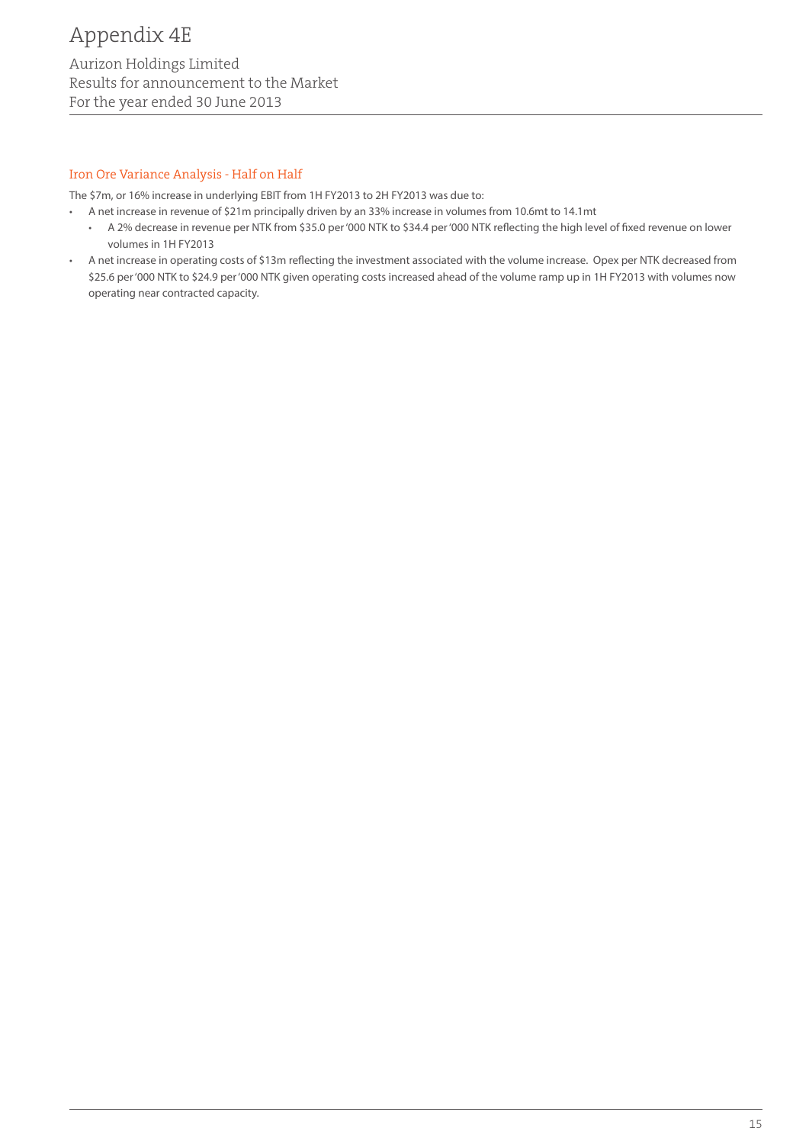#### Iron Ore Variance Analysis - Half on Half

The \$7m, or 16% increase in underlying EBIT from 1H FY2013 to 2H FY2013 was due to:

- • A net increase in revenue of \$21m principally driven by an 33% increase in volumes from 10.6mt to 14.1mt
	- • A 2% decrease in revenue per NTK from \$35.0 per '000 NTK to \$34.4 per '000 NTK reflecting the high level of fixed revenue on lower volumes in 1H FY2013
- • A net increase in operating costs of \$13m reflecting the investment associated with the volume increase. Opex per NTK decreased from \$25.6 per '000 NTK to \$24.9 per '000 NTK given operating costs increased ahead of the volume ramp up in 1H FY2013 with volumes now operating near contracted capacity.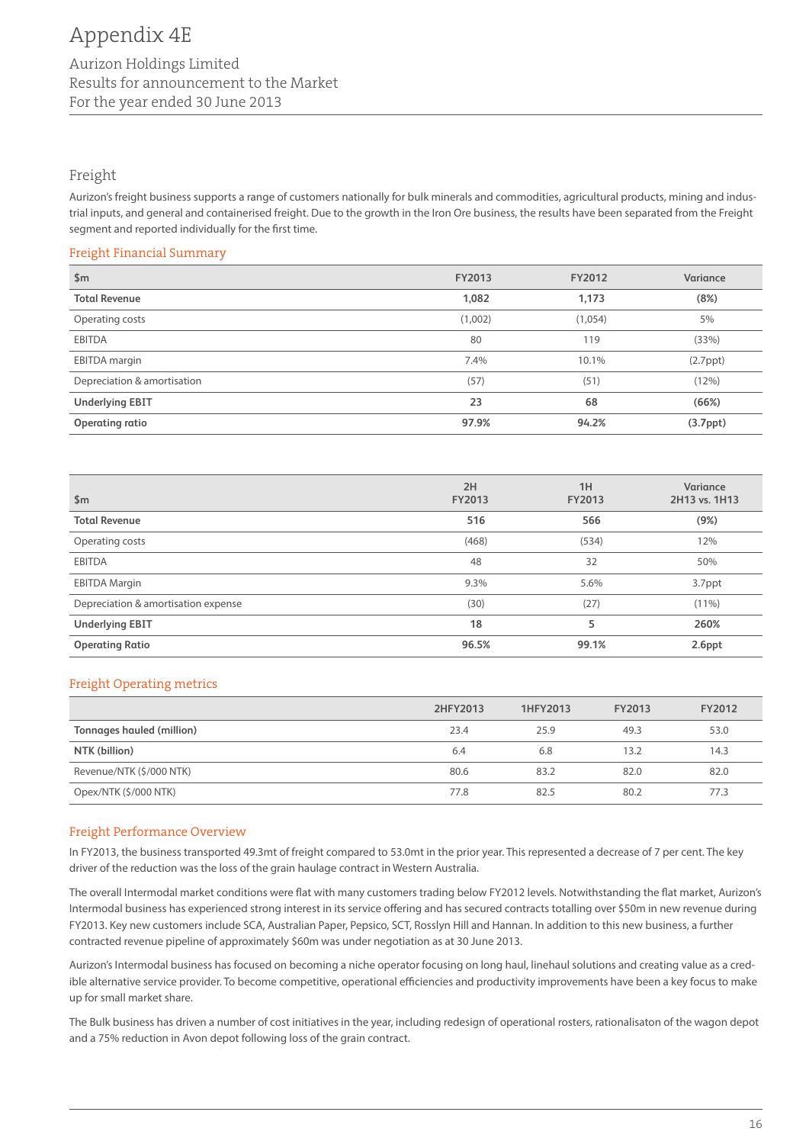# Freight

Aurizon's freight business supports a range of customers nationally for bulk minerals and commodities, agricultural products, mining and industrial inputs, and general and containerised freight. Due to the growth in the Iron Ore business, the results have been separated from the Freight segment and reported individually for the first time.

#### Freight Financial Summary

| \$m\$                       | FY2013  | FY2012  | Variance              |
|-----------------------------|---------|---------|-----------------------|
| <b>Total Revenue</b>        | 1,082   | 1,173   | (8%)                  |
| Operating costs             | (1,002) | (1,054) | 5%                    |
| <b>EBITDA</b>               | 80      | 119     | (33%)                 |
| <b>EBITDA</b> margin        | 7.4%    | 10.1%   | $(2.7$ ppt $)$        |
| Depreciation & amortisation | (57)    | (51)    | (12%)                 |
| <b>Underlying EBIT</b>      | 23      | 68      | (66%)                 |
| Operating ratio             | 97.9%   | 94.2%   | (3.7 <sub>ppt</sub> ) |

| \$m\$                               | 2H<br><b>FY2013</b> | 1H<br><b>FY2013</b> | Variance<br>2H13 vs. 1H13 |
|-------------------------------------|---------------------|---------------------|---------------------------|
| <b>Total Revenue</b>                | 516                 | 566                 | (9%)                      |
| Operating costs                     | (468)               | (534)               | 12%                       |
| <b>EBITDA</b>                       | 48                  | 32                  | 50%                       |
| <b>EBITDA Margin</b>                | 9.3%                | 5.6%                | 3.7ppt                    |
| Depreciation & amortisation expense | (30)                | (27)                | $(11\%)$                  |
| <b>Underlying EBIT</b>              | 18                  | 5                   | 260%                      |
| <b>Operating Ratio</b>              | 96.5%               | 99.1%               | 2.6ppt                    |

#### Freight Operating metrics

|                           | 2HFY2013 | 1HFY2013 | FY2013 | FY2012 |
|---------------------------|----------|----------|--------|--------|
| Tonnages hauled (million) | 23.4     | 25.9     | 49.3   | 53.0   |
| NTK (billion)             | 6.4      | 6.8      | 13.2   | 14.3   |
| Revenue/NTK (\$/000 NTK)  | 80.6     | 83.2     | 82.0   | 82.0   |
| Opex/NTK (\$/000 NTK)     | 77.8     | 82.5     | 80.2   | 77.3   |

#### Freight Performance Overview

In FY2013, the business transported 49.3mt of freight compared to 53.0mt in the prior year. This represented a decrease of 7 per cent. The key driver of the reduction was the loss of the grain haulage contract in Western Australia.

The overall Intermodal market conditions were flat with many customers trading below FY2012 levels. Notwithstanding the flat market, Aurizon's Intermodal business has experienced strong interest in its service offering and has secured contracts totalling over \$50m in new revenue during FY2013. Key new customers include SCA, Australian Paper, Pepsico, SCT, Rosslyn Hill and Hannan. In addition to this new business, a further contracted revenue pipeline of approximately \$60m was under negotiation as at 30 June 2013.

Aurizon's Intermodal business has focused on becoming a niche operator focusing on long haul, linehaul solutions and creating value as a credible alternative service provider. To become competitive, operational efficiencies and productivity improvements have been a key focus to make up for small market share.

The Bulk business has driven a number of cost initiatives in the year, including redesign of operational rosters, rationalisaton of the wagon depot and a 75% reduction in Avon depot following loss of the grain contract.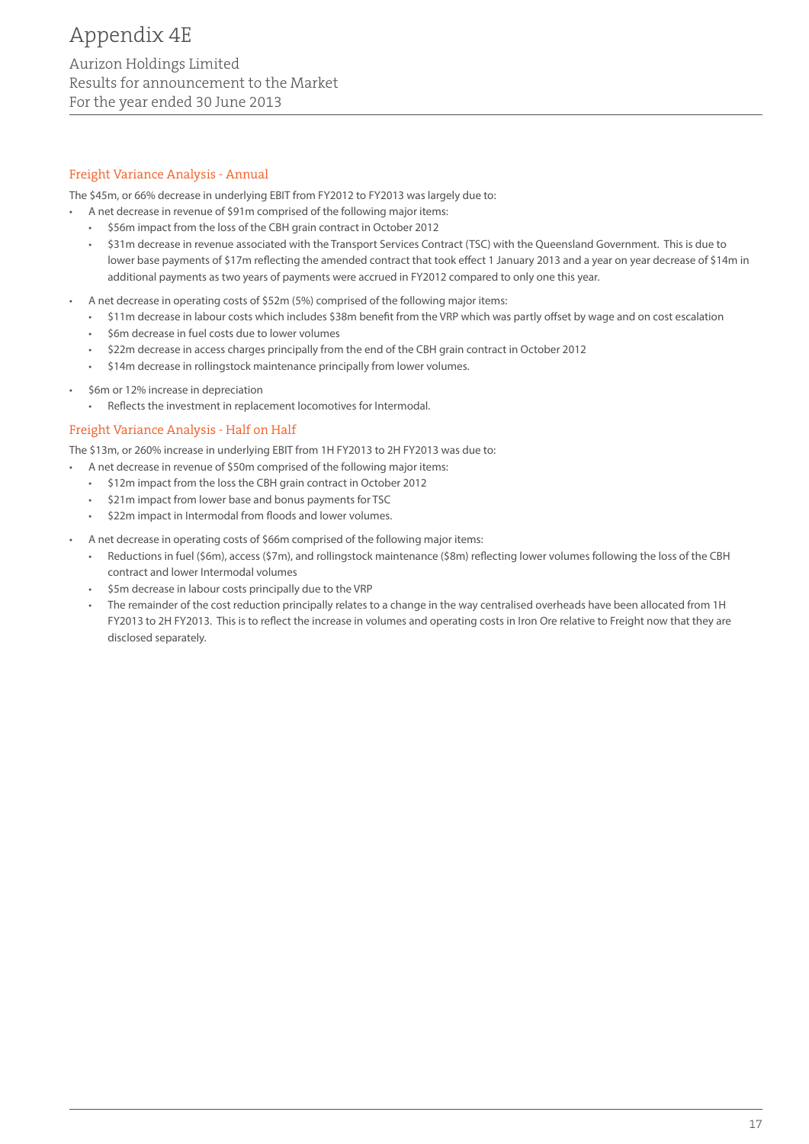#### Freight Variance Analysis - Annual

The \$45m, or 66% decrease in underlying EBIT from FY2012 to FY2013 was largely due to:

- A net decrease in revenue of \$91m comprised of the following major items:
- \$56m impact from the loss of the CBH grain contract in October 2012
- \$31m decrease in revenue associated with the Transport Services Contract (TSC) with the Queensland Government. This is due to lower base payments of \$17m reflecting the amended contract that took effect 1 January 2013 and a year on year decrease of \$14m in additional payments as two years of payments were accrued in FY2012 compared to only one this year.
- A net decrease in operating costs of \$52m (5%) comprised of the following major items:
	- • \$11m decrease in labour costs which includes \$38m benefit from the VRP which was partly offset by wage and on cost escalation
	- \$6m decrease in fuel costs due to lower volumes
	- \$22m decrease in access charges principally from the end of the CBH grain contract in October 2012
	- \$14m decrease in rollingstock maintenance principally from lower volumes.
- \$6m or 12% increase in depreciation
	- • Reflects the investment in replacement locomotives for Intermodal.

#### Freight Variance Analysis - Half on Half

The \$13m, or 260% increase in underlying EBIT from 1H FY2013 to 2H FY2013 was due to:

- A net decrease in revenue of \$50m comprised of the following major items:
	- • \$12m impact from the loss the CBH grain contract in October 2012
	- • \$21m impact from lower base and bonus payments for TSC
	- • \$22m impact in Intermodal from floods and lower volumes.
- A net decrease in operating costs of \$66m comprised of the following major items:
	- Reductions in fuel (\$6m), access (\$7m), and rollingstock maintenance (\$8m) reflecting lower volumes following the loss of the CBH contract and lower Intermodal volumes
	- \$5m decrease in labour costs principally due to the VRP
	- The remainder of the cost reduction principally relates to a change in the way centralised overheads have been allocated from 1H FY2013 to 2H FY2013. This is to reflect the increase in volumes and operating costs in Iron Ore relative to Freight now that they are disclosed separately.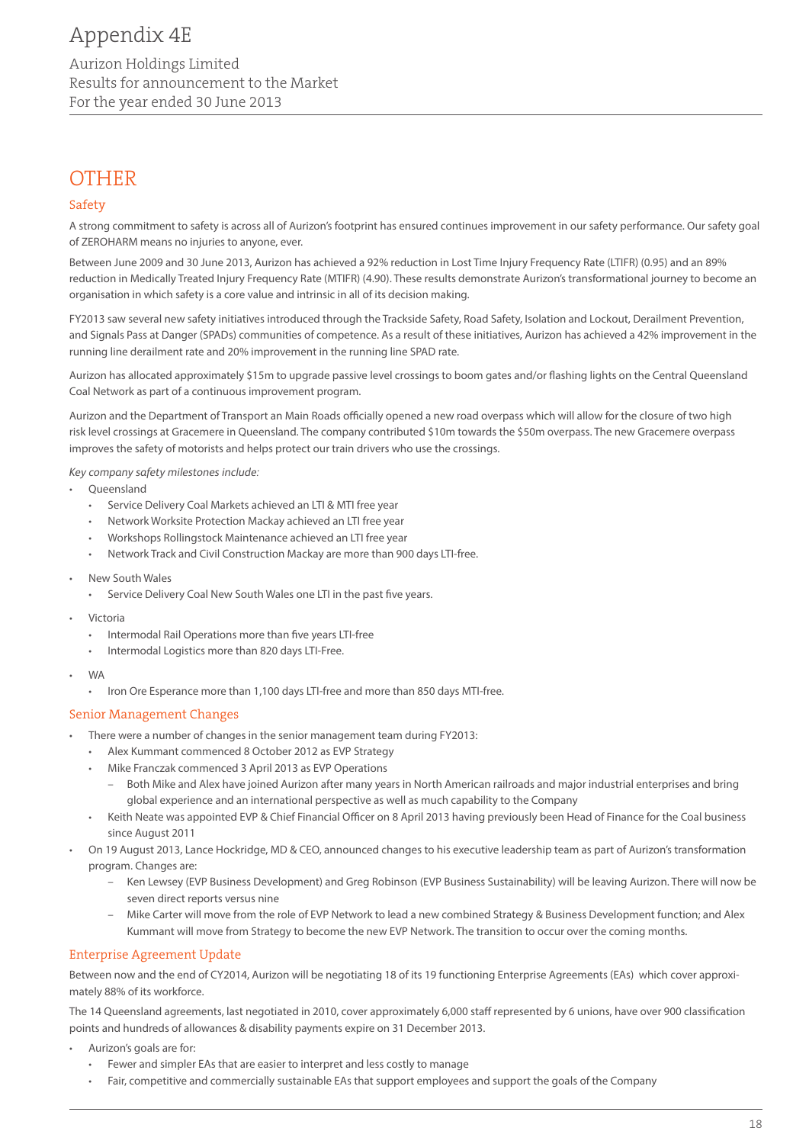# **OTHER**

#### Safety

A strong commitment to safety is across all of Aurizon's footprint has ensured continues improvement in our safety performance. Our safety goal of ZEROHARM means no injuries to anyone, ever.

Between June 2009 and 30 June 2013, Aurizon has achieved a 92% reduction in Lost Time Injury Frequency Rate (LTIFR) (0.95) and an 89% reduction in Medically Treated Injury Frequency Rate (MTIFR) (4.90). These results demonstrate Aurizon's transformational journey to become an organisation in which safety is a core value and intrinsic in all of its decision making.

FY2013 saw several new safety initiatives introduced through the Trackside Safety, Road Safety, Isolation and Lockout, Derailment Prevention, and Signals Pass at Danger (SPADs) communities of competence. As a result of these initiatives, Aurizon has achieved a 42% improvement in the running line derailment rate and 20% improvement in the running line SPAD rate.

Aurizon has allocated approximately \$15m to upgrade passive level crossings to boom gates and/or flashing lights on the Central Queensland Coal Network as part of a continuous improvement program.

Aurizon and the Department of Transport an Main Roads officially opened a new road overpass which will allow for the closure of two high risk level crossings at Gracemere in Queensland. The company contributed \$10m towards the \$50m overpass. The new Gracemere overpass improves the safety of motorists and helps protect our train drivers who use the crossings.

*Key company safety milestones include:*

- **Queensland** 
	- • Service Delivery Coal Markets achieved an LTI & MTI free year
	- • Network Worksite Protection Mackay achieved an LTI free year
	- Workshops Rollingstock Maintenance achieved an LTI free year
	- Network Track and Civil Construction Mackay are more than 900 days LTI-free.
- • New South Wales
	- • Service Delivery Coal New South Wales one LTI in the past five years.
- Victoria
	- • Intermodal Rail Operations more than five years LTI-free
	- • Intermodal Logistics more than 820 days LTI-Free.
- • WA
	- • Iron Ore Esperance more than 1,100 days LTI-free and more than 850 days MTI-free.

#### Senior Management Changes

- There were a number of changes in the senior management team during FY2013:
	- • Alex Kummant commenced 8 October 2012 as EVP Strategy
	- Mike Franczak commenced 3 April 2013 as EVP Operations
		- Both Mike and Alex have joined Aurizon after many years in North American railroads and major industrial enterprises and bring global experience and an international perspective as well as much capability to the Company
	- • Keith Neate was appointed EVP & Chief Financial Officer on 8 April 2013 having previously been Head of Finance for the Coal business since August 2011
- On 19 August 2013, Lance Hockridge, MD & CEO, announced changes to his executive leadership team as part of Aurizon's transformation program. Changes are:
	- Ken Lewsey (EVP Business Development) and Greg Robinson (EVP Business Sustainability) will be leaving Aurizon. There will now be seven direct reports versus nine
	- Mike Carter will move from the role of EVP Network to lead a new combined Strategy & Business Development function; and Alex Kummant will move from Strategy to become the new EVP Network. The transition to occur over the coming months.

#### Enterprise Agreement Update

Between now and the end of CY2014, Aurizon will be negotiating 18 of its 19 functioning Enterprise Agreements (EAs) which cover approximately 88% of its workforce.

The 14 Queensland agreements, last negotiated in 2010, cover approximately 6,000 staff represented by 6 unions, have over 900 classification points and hundreds of allowances & disability payments expire on 31 December 2013.

- Aurizon's goals are for:
	- Fewer and simpler EAs that are easier to interpret and less costly to manage
	- Fair, competitive and commercially sustainable EAs that support employees and support the goals of the Company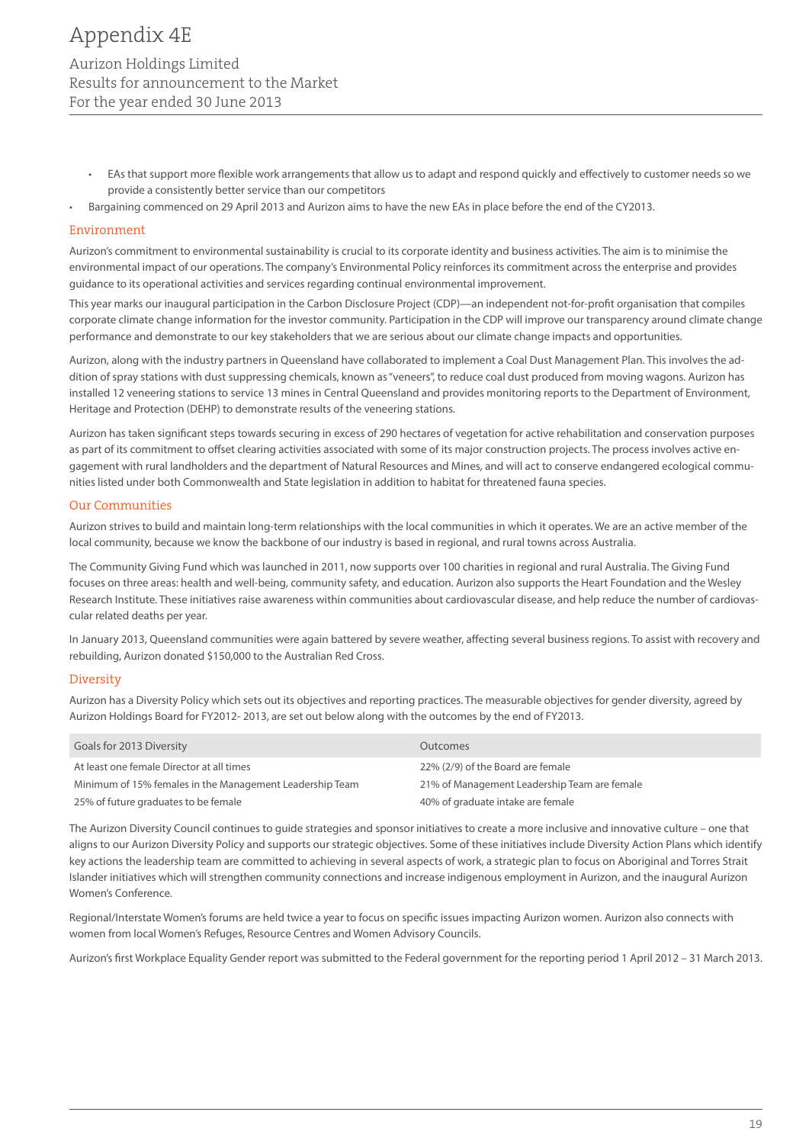- EAs that support more flexible work arrangements that allow us to adapt and respond quickly and effectively to customer needs so we provide a consistently better service than our competitors
- Bargaining commenced on 29 April 2013 and Aurizon aims to have the new EAs in place before the end of the CY2013.

#### Environment

Aurizon's commitment to environmental sustainability is crucial to its corporate identity and business activities. The aim is to minimise the environmental impact of our operations. The company's Environmental Policy reinforces its commitment across the enterprise and provides guidance to its operational activities and services regarding continual environmental improvement.

This year marks our inaugural participation in the Carbon Disclosure Project (CDP)—an independent not-for-profit organisation that compiles corporate climate change information for the investor community. Participation in the CDP will improve our transparency around climate change performance and demonstrate to our key stakeholders that we are serious about our climate change impacts and opportunities.

Aurizon, along with the industry partners in Queensland have collaborated to implement a Coal Dust Management Plan. This involves the addition of spray stations with dust suppressing chemicals, known as "veneers", to reduce coal dust produced from moving wagons. Aurizon has installed 12 veneering stations to service 13 mines in Central Queensland and provides monitoring reports to the Department of Environment, Heritage and Protection (DEHP) to demonstrate results of the veneering stations.

Aurizon has taken significant steps towards securing in excess of 290 hectares of vegetation for active rehabilitation and conservation purposes as part of its commitment to offset clearing activities associated with some of its major construction projects. The process involves active engagement with rural landholders and the department of Natural Resources and Mines, and will act to conserve endangered ecological communities listed under both Commonwealth and State legislation in addition to habitat for threatened fauna species.

#### Our Communities

Aurizon strives to build and maintain long-term relationships with the local communities in which it operates. We are an active member of the local community, because we know the backbone of our industry is based in regional, and rural towns across Australia.

The Community Giving Fund which was launched in 2011, now supports over 100 charities in regional and rural Australia. The Giving Fund focuses on three areas: health and well-being, community safety, and education. Aurizon also supports the Heart Foundation and the Wesley Research Institute. These initiatives raise awareness within communities about cardiovascular disease, and help reduce the number of cardiovascular related deaths per year.

In January 2013, Queensland communities were again battered by severe weather, affecting several business regions. To assist with recovery and rebuilding, Aurizon donated \$150,000 to the Australian Red Cross.

#### **Diversity**

Aurizon has a Diversity Policy which sets out its objectives and reporting practices. The measurable objectives for gender diversity, agreed by Aurizon Holdings Board for FY2012- 2013, are set out below along with the outcomes by the end of FY2013.

| Goals for 2013 Diversity                                 | <b>Outcomes</b>                              |
|----------------------------------------------------------|----------------------------------------------|
| At least one female Director at all times                | 22% (2/9) of the Board are female            |
| Minimum of 15% females in the Management Leadership Team | 21% of Management Leadership Team are female |
| 25% of future graduates to be female                     | 40% of graduate intake are female            |

The Aurizon Diversity Council continues to guide strategies and sponsor initiatives to create a more inclusive and innovative culture – one that aligns to our Aurizon Diversity Policy and supports our strategic objectives. Some of these initiatives include Diversity Action Plans which identify key actions the leadership team are committed to achieving in several aspects of work, a strategic plan to focus on Aboriginal and Torres Strait Islander initiatives which will strengthen community connections and increase indigenous employment in Aurizon, and the inaugural Aurizon Women's Conference.

Regional/Interstate Women's forums are held twice a year to focus on specific issues impacting Aurizon women. Aurizon also connects with women from local Women's Refuges, Resource Centres and Women Advisory Councils.

Aurizon's first Workplace Equality Gender report was submitted to the Federal government for the reporting period 1 April 2012 – 31 March 2013.